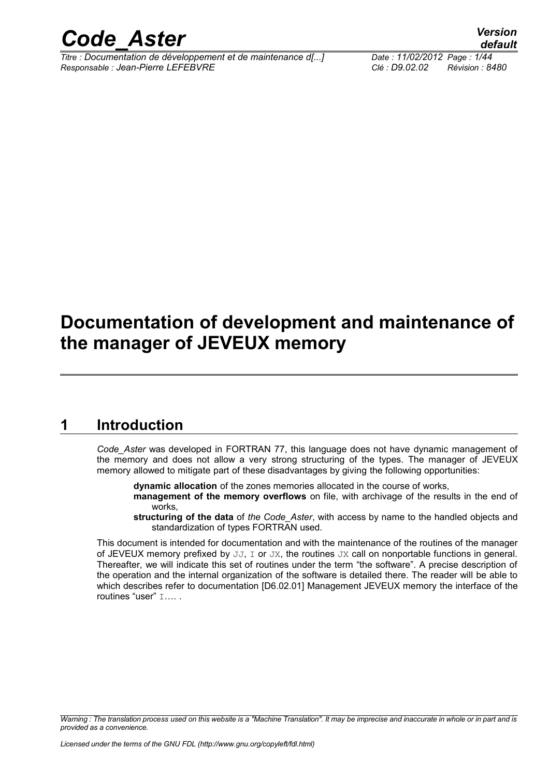

*Titre : Documentation de développement et de maintenance d[...] Date : 11/02/2012 Page : 1/44 Responsable : Jean-Pierre LEFEBVRE Clé : D9.02.02 Révision : 8480*

*default*

## **Documentation of development and maintenance of the manager of JEVEUX memory**

### **1 Introduction**

*Code\_Aster* was developed in FORTRAN 77, this language does not have dynamic management of the memory and does not allow a very strong structuring of the types. The manager of JEVEUX memory allowed to mitigate part of these disadvantages by giving the following opportunities:

**dynamic allocation** of the zones memories allocated in the course of works,

**management of the memory overflows** on file, with archivage of the results in the end of works,

**structuring of the data** of *the Code\_Aster*, with access by name to the handled objects and standardization of types FORTRAN used.

This document is intended for documentation and with the maintenance of the routines of the manager of JEVEUX memory prefixed by  $JJ$ , I or JX, the routines  $JX$  call on nonportable functions in general. Thereafter, we will indicate this set of routines under the term "the software". A precise description of the operation and the internal organization of the software is detailed there. The reader will be able to which describes refer to documentation [D6.02.01] Management JEVEUX memory the interface of the routines "user" ⊺…….

*Warning : The translation process used on this website is a "Machine Translation". It may be imprecise and inaccurate in whole or in part and is provided as a convenience.*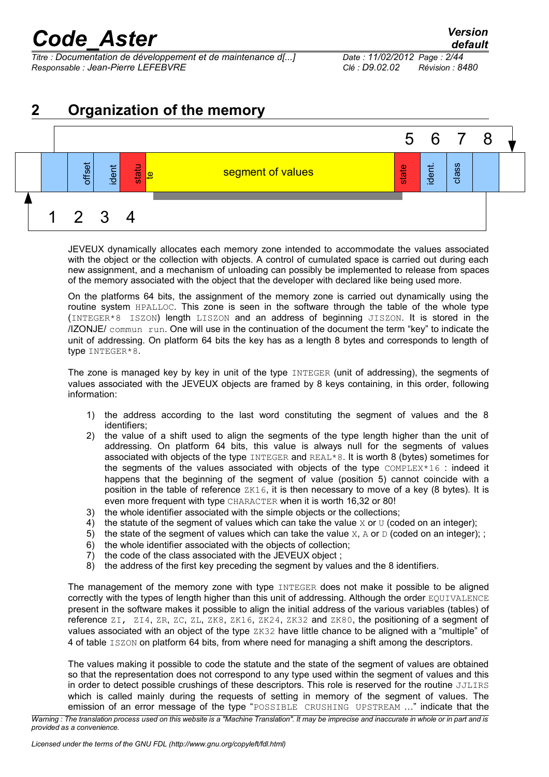*Titre : Documentation de développement et de maintenance d[...] Date : 11/02/2012 Page : 2/44 Responsable : Jean-Pierre LEFEBVRE Clé : D9.02.02 Révision : 8480*

### **2 Organization of the memory**



JEVEUX dynamically allocates each memory zone intended to accommodate the values associated with the object or the collection with objects. A control of cumulated space is carried out during each new assignment, and a mechanism of unloading can possibly be implemented to release from spaces of the memory associated with the object that the developer with declared like being used more.

On the platforms 64 bits, the assignment of the memory zone is carried out dynamically using the routine system HPALLOC. This zone is seen in the software through the table of the whole type (INTEGER\*8 ISZON) length LISZON and an address of beginning JISZON. It is stored in the /IZONJE/ commun run. One will use in the continuation of the document the term "key" to indicate the unit of addressing. On platform 64 bits the key has as a length 8 bytes and corresponds to length of type INTEGER\*8.

The zone is managed key by key in unit of the type INTEGER (unit of addressing), the segments of values associated with the JEVEUX objects are framed by 8 keys containing, in this order, following information:

- 1) the address according to the last word constituting the segment of values and the 8 identifiers;
- 2) the value of a shift used to align the segments of the type length higher than the unit of addressing. On platform 64 bits, this value is always null for the segments of values associated with objects of the type INTEGER and REAL\*8. It is worth 8 (bytes) sometimes for the segments of the values associated with objects of the type COMPLEX\*16 : indeed it happens that the beginning of the segment of value (position 5) cannot coincide with a position in the table of reference  $ZK16$ , it is then necessary to move of a key (8 bytes). It is even more frequent with type CHARACTER when it is worth 16,32 or 80!
- 3) the whole identifier associated with the simple objects or the collections;
- 4) the statute of the segment of values which can take the value  $\times$  or  $\times$  (coded on an integer);
- 5) the state of the segment of values which can take the value  $X$ ,  $X$  or  $D$  (coded on an integer); :
- 6) the whole identifier associated with the objects of collection;
- 7) the code of the class associated with the JEVEUX object ;
- 8) the address of the first key preceding the segment by values and the 8 identifiers.

The management of the memory zone with type INTEGER does not make it possible to be aligned correctly with the types of length higher than this unit of addressing. Although the order EQUIVALENCE present in the software makes it possible to align the initial address of the various variables (tables) of reference ZI, ZI4, ZR, ZC, ZL, ZK8, ZK16, ZK24, ZK32 and ZK80, the positioning of a segment of values associated with an object of the type  $ZK32$  have little chance to be aligned with a "multiple" of 4 of table ISZON on platform 64 bits, from where need for managing a shift among the descriptors.

The values making it possible to code the statute and the state of the segment of values are obtained so that the representation does not correspond to any type used within the segment of values and this in order to detect possible crushings of these descriptors. This role is reserved for the routine JJLIRS which is called mainly during the requests of setting in memory of the segment of values. The emission of an error message of the type "POSSIBLE CRUSHING UPSTREAM …" indicate that the

*Warning : The translation process used on this website is a "Machine Translation". It may be imprecise and inaccurate in whole or in part and is provided as a convenience.*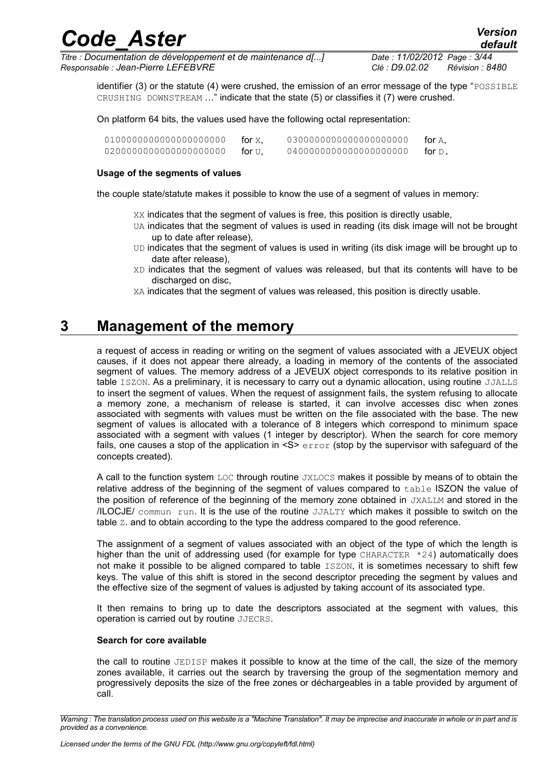*Titre : Documentation de développement et de maintenance d[...] Date : 11/02/2012 Page : 3/44 Responsable : Jean-Pierre LEFEBVRE Clé : D9.02.02 Révision : 8480*

*default*

identifier (3) or the statute (4) were crushed, the emission of an error message of the type "POSSIBLE CRUSHING DOWNSTREAM …" indicate that the state (5) or classifies it (7) were crushed.

On platform 64 bits, the values used have the following octal representation:

| 0100000000000000000000 | for $X$ , | 0300000000000000000000 | for A,              |
|------------------------|-----------|------------------------|---------------------|
| 0200000000000000000000 | tor U.    | 0400000000000000000000 | for $D_{\lambda}$ . |

#### **Usage of the segments of values**

the couple state/statute makes it possible to know the use of a segment of values in memory:

- XX indicates that the segment of values is free, this position is directly usable,
- UA indicates that the segment of values is used in reading (its disk image will not be brought up to date after release),
- UD indicates that the segment of values is used in writing (its disk image will be brought up to date after release),
- XD indicates that the segment of values was released, but that its contents will have to be discharged on disc.
- XA indicates that the segment of values was released, this position is directly usable.

### **3 Management of the memory**

a request of access in reading or writing on the segment of values associated with a JEVEUX object causes, if it does not appear there already, a loading in memory of the contents of the associated segment of values. The memory address of a JEVEUX object corresponds to its relative position in table ISZON. As a preliminary, it is necessary to carry out a dynamic allocation, using routine JJALLS to insert the segment of values. When the request of assignment fails, the system refusing to allocate a memory zone, a mechanism of release is started, it can involve accesses disc when zones associated with segments with values must be written on the file associated with the base. The new segment of values is allocated with a tolerance of 8 integers which correspond to minimum space associated with a segment with values (1 integer by descriptor). When the search for core memory fails, one causes a stop of the application in  $\leq$   $\geq$   $\leq$   $\leq$   $\leq$   $\leq$   $\leq$   $\leq$   $\leq$   $\leq$   $\leq$   $\leq$   $\leq$   $\leq$   $\leq$   $\leq$   $\leq$   $\leq$   $\leq$   $\leq$   $\leq$   $\leq$   $\leq$   $\leq$   $\leq$   $\leq$   $\leq$   $\leq$   $\leq$  concepts created).

A call to the function system LOC through routine JXLOCS makes it possible by means of to obtain the relative address of the beginning of the segment of values compared to table ISZON the value of the position of reference of the beginning of the memory zone obtained in JXALLM and stored in the /ILOCJE/ commun run. It is the use of the routine JJALTY which makes it possible to switch on the table Z. and to obtain according to the type the address compared to the good reference.

The assignment of a segment of values associated with an object of the type of which the length is higher than the unit of addressing used (for example for type CHARACTER  $*24$ ) automatically does not make it possible to be aligned compared to table ISZON, it is sometimes necessary to shift few keys. The value of this shift is stored in the second descriptor preceding the segment by values and the effective size of the segment of values is adjusted by taking account of its associated type.

It then remains to bring up to date the descriptors associated at the segment with values, this operation is carried out by routine JJECRS.

#### **Search for core available**

the call to routine JEDISP makes it possible to know at the time of the call, the size of the memory zones available, it carries out the search by traversing the group of the segmentation memory and progressively deposits the size of the free zones or déchargeables in a table provided by argument of call.

*Warning : The translation process used on this website is a "Machine Translation". It may be imprecise and inaccurate in whole or in part and is provided as a convenience.*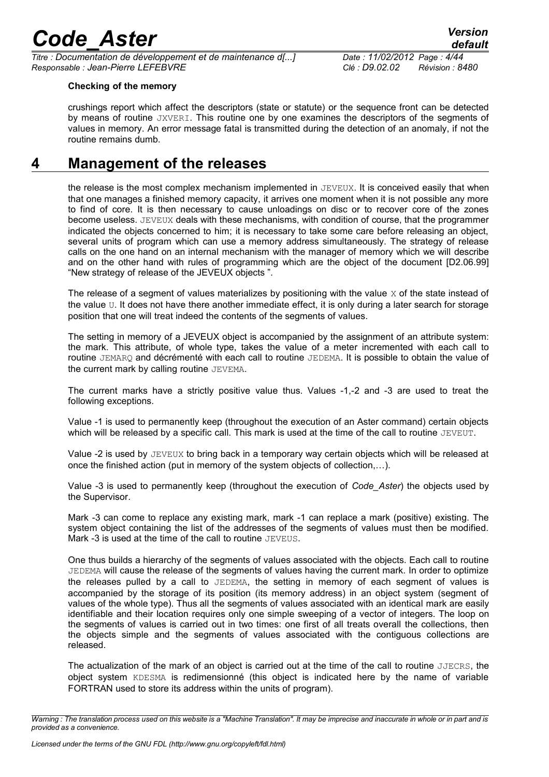*Titre : Documentation de développement et de maintenance d[...] Date : 11/02/2012 Page : 4/44 Responsable : Jean-Pierre LEFEBVRE Clé : D9.02.02 Révision : 8480*

#### **Checking of the memory**

crushings report which affect the descriptors (state or statute) or the sequence front can be detected by means of routine JXVERI. This routine one by one examines the descriptors of the segments of values in memory. An error message fatal is transmitted during the detection of an anomaly, if not the routine remains dumb.

### **4 Management of the releases**

the release is the most complex mechanism implemented in JEVEUX. It is conceived easily that when that one manages a finished memory capacity, it arrives one moment when it is not possible any more to find of core. It is then necessary to cause unloadings on disc or to recover core of the zones become useless. JEVEUX deals with these mechanisms, with condition of course, that the programmer indicated the objects concerned to him; it is necessary to take some care before releasing an object, several units of program which can use a memory address simultaneously. The strategy of release calls on the one hand on an internal mechanism with the manager of memory which we will describe and on the other hand with rules of programming which are the object of the document [D2.06.99] "New strategy of release of the JEVEUX objects ".

The release of a segment of values materializes by positioning with the value  $X$  of the state instead of the value  $U$ . It does not have there another immediate effect, it is only during a later search for storage position that one will treat indeed the contents of the segments of values.

The setting in memory of a JEVEUX object is accompanied by the assignment of an attribute system: the mark. This attribute, of whole type, takes the value of a meter incremented with each call to routine JEMARQ and décrémenté with each call to routine JEDEMA. It is possible to obtain the value of the current mark by calling routine JEVEMA.

The current marks have a strictly positive value thus. Values -1,-2 and -3 are used to treat the following exceptions.

Value -1 is used to permanently keep (throughout the execution of an Aster command) certain objects which will be released by a specific call. This mark is used at the time of the call to routine JEVEUT.

Value -2 is used by JEVEUX to bring back in a temporary way certain objects which will be released at once the finished action (put in memory of the system objects of collection,…).

Value -3 is used to permanently keep (throughout the execution of *Code\_Aster*) the objects used by the Supervisor.

Mark -3 can come to replace any existing mark, mark -1 can replace a mark (positive) existing. The system object containing the list of the addresses of the segments of values must then be modified. Mark -3 is used at the time of the call to routine JEVEUS.

One thus builds a hierarchy of the segments of values associated with the objects. Each call to routine JEDEMA will cause the release of the segments of values having the current mark. In order to optimize the releases pulled by a call to JEDEMA, the setting in memory of each segment of values is accompanied by the storage of its position (its memory address) in an object system (segment of values of the whole type). Thus all the segments of values associated with an identical mark are easily identifiable and their location requires only one simple sweeping of a vector of integers. The loop on the segments of values is carried out in two times: one first of all treats overall the collections, then the objects simple and the segments of values associated with the contiguous collections are released.

The actualization of the mark of an object is carried out at the time of the call to routine JJECRS, the object system KDESMA is redimensionné (this object is indicated here by the name of variable FORTRAN used to store its address within the units of program).

*Warning : The translation process used on this website is a "Machine Translation". It may be imprecise and inaccurate in whole or in part and is provided as a convenience.*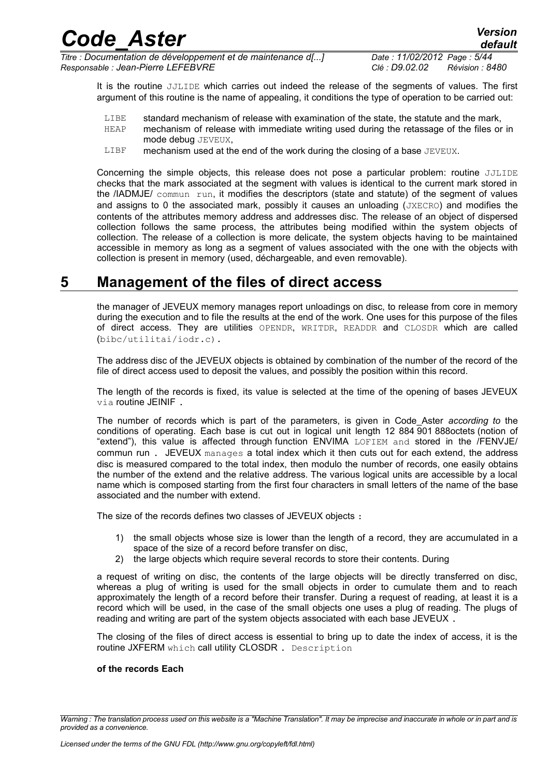| <b>Code Aster</b>                                            |                             | <b>Version</b><br>default |
|--------------------------------------------------------------|-----------------------------|---------------------------|
| Titre : Documentation de développement et de maintenance d[] | Date: 11/02/2012 Page: 5/44 |                           |
| Responsable : Jean-Pierre LEFEBVRE                           | Clé : D9.02.02              | Révision : 8480           |

It is the routine JJLIDE which carries out indeed the release of the segments of values. The first argument of this routine is the name of appealing, it conditions the type of operation to be carried out:

- LIBE standard mechanism of release with examination of the state, the statute and the mark,<br>HEAP mechanism of release with immediate writing used during the retassage of the files or
- mechanism of release with immediate writing used during the retassage of the files or in mode debug JEVEUX,
- $LIBF$  mechanism used at the end of the work during the closing of a base  $JEVEUX$ .

Concerning the simple objects, this release does not pose a particular problem: routine JJLIDE checks that the mark associated at the segment with values is identical to the current mark stored in the /IADMJE/ commun run, it modifies the descriptors (state and statute) of the segment of values and assigns to 0 the associated mark, possibly it causes an unloading  $(JXECRO)$  and modifies the contents of the attributes memory address and addresses disc. The release of an object of dispersed collection follows the same process, the attributes being modified within the system objects of collection. The release of a collection is more delicate, the system objects having to be maintained accessible in memory as long as a segment of values associated with the one with the objects with collection is present in memory (used, déchargeable, and even removable).

### **5 Management of the files of direct access**

the manager of JEVEUX memory manages report unloadings on disc, to release from core in memory during the execution and to file the results at the end of the work. One uses for this purpose of the files of direct access. They are utilities OPENDR, WRITDR, READDR and CLOSDR which are called (bibc/utilitai/iodr.c).

The address disc of the JEVEUX objects is obtained by combination of the number of the record of the file of direct access used to deposit the values, and possibly the position within this record.

The length of the records is fixed, its value is selected at the time of the opening of bases JEVEUX via routine JEINIF .

The number of records which is part of the parameters, is given in Code\_Aster *according to* the conditions of operating. Each base is cut out in logical unit length 12 884 901 888octets (notion of "extend"), this value is affected through function ENVIMA LOFIEM and stored in the /FENVJE/ commun run . JEVEUX manages a total index which it then cuts out for each extend, the address disc is measured compared to the total index, then modulo the number of records, one easily obtains the number of the extend and the relative address. The various logical units are accessible by a local name which is composed starting from the first four characters in small letters of the name of the base associated and the number with extend.

The size of the records defines two classes of JEVEUX objects :

- 1) the small objects whose size is lower than the length of a record, they are accumulated in a space of the size of a record before transfer on disc,
- 2) the large objects which require several records to store their contents. During

a request of writing on disc, the contents of the large objects will be directly transferred on disc, whereas a plug of writing is used for the small objects in order to cumulate them and to reach approximately the length of a record before their transfer. During a request of reading, at least it is a record which will be used, in the case of the small objects one uses a plug of reading. The plugs of reading and writing are part of the system objects associated with each base JEVEUX .

The closing of the files of direct access is essential to bring up to date the index of access, it is the routine JXFERM which call utility CLOSDR . Description

#### **of the records Each**

*Warning : The translation process used on this website is a "Machine Translation". It may be imprecise and inaccurate in whole or in part and is provided as a convenience.*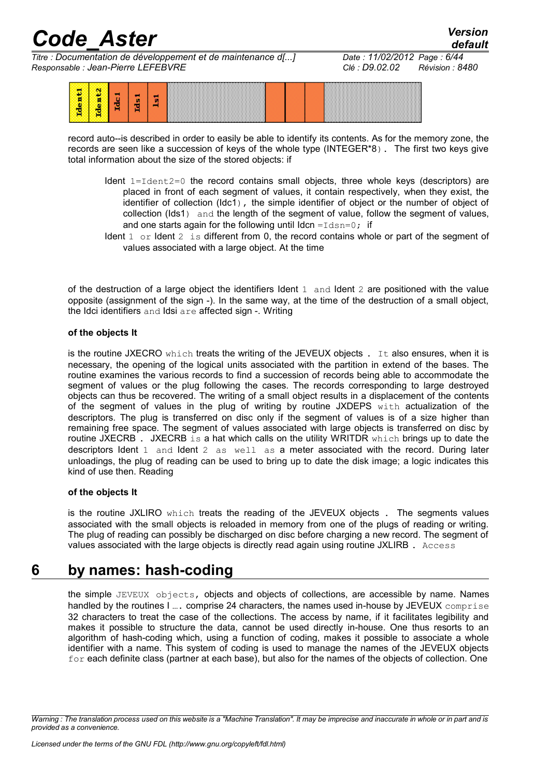*Titre : Documentation de développement et de maintenance d[...] Date : 11/02/2012 Page : 6/44 Responsable : Jean-Pierre LEFEBVRE Clé : D9.02.02 Révision : 8480*

*default*



record auto--is described in order to easily be able to identify its contents. As for the memory zone, the records are seen like a succession of keys of the whole type (INTEGER\*8). The first two keys give total information about the size of the stored objects: if

- Ident  $1 =$ Ident $2 = 0$  the record contains small objects, three whole keys (descriptors) are placed in front of each segment of values, it contain respectively, when they exist, the identifier of collection (Idc1), the simple identifier of object or the number of object of collection (Ids1) and the length of the segment of value, follow the segment of values, and one starts again for the following until Idcn = $Idsn=0;$  if
- Ident  $1 \text{ or }$  Ident  $2 \text{ is different from 0, the record contains whole or part of the segment of }$ values associated with a large object. At the time

of the destruction of a large object the identifiers Ident  $1$  and Ident  $2$  are positioned with the value opposite (assignment of the sign -). In the same way, at the time of the destruction of a small object, the Idci identifiers and Idsi are affected sign -. Writing

#### **of the objects It**

is the routine JXECRO which treats the writing of the JEVEUX objects . It also ensures, when it is necessary, the opening of the logical units associated with the partition in extend of the bases. The routine examines the various records to find a succession of records being able to accommodate the segment of values or the plug following the cases. The records corresponding to large destroyed objects can thus be recovered. The writing of a small object results in a displacement of the contents of the segment of values in the plug of writing by routine JXDEPS  $with$  actualization of the descriptors. The plug is transferred on disc only if the segment of values is of a size higher than remaining free space. The segment of values associated with large objects is transferred on disc by routine JXECRB . JXECRB is a hat which calls on the utility WRITDR which brings up to date the descriptors Ident 1 and Ident 2 as well as a meter associated with the record. During later unloadings, the plug of reading can be used to bring up to date the disk image; a logic indicates this kind of use then. Reading

#### **of the objects It**

is the routine JXLIRO which treats the reading of the JEVEUX objects. The segments values associated with the small objects is reloaded in memory from one of the plugs of reading or writing. The plug of reading can possibly be discharged on disc before charging a new record. The segment of values associated with the large objects is directly read again using routine JXLIRB . Access

### **6 by names: hash-coding**

the simple JEVEUX objects, objects and objects of collections, are accessible by name. Names handled by the routines  $I_{\text{max}}$  comprise 24 characters, the names used in-house by JEVEUX comprise 32 characters to treat the case of the collections. The access by name, if it facilitates legibility and makes it possible to structure the data, cannot be used directly in-house. One thus resorts to an algorithm of hash-coding which, using a function of coding, makes it possible to associate a whole identifier with a name. This system of coding is used to manage the names of the JEVEUX objects for each definite class (partner at each base), but also for the names of the objects of collection. One

*Warning : The translation process used on this website is a "Machine Translation". It may be imprecise and inaccurate in whole or in part and is provided as a convenience.*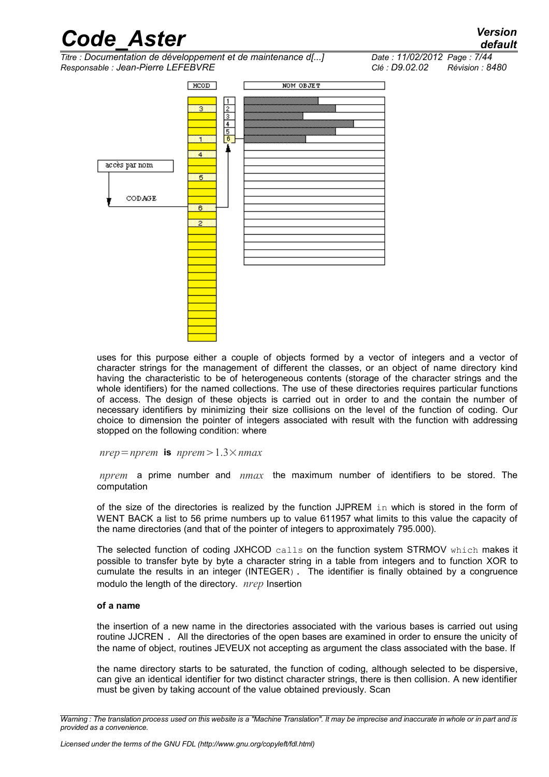*Titre : Documentation de développement et de maintenance d[...] Date : 11/02/2012 Page : 7/44 Responsable : Jean-Pierre LEFEBVRE Clé : D9.02.02 Révision : 8480*



uses for this purpose either a couple of objects formed by a vector of integers and a vector of character strings for the management of different the classes, or an object of name directory kind having the characteristic to be of heterogeneous contents (storage of the character strings and the whole identifiers) for the named collections. The use of these directories requires particular functions of access. The design of these objects is carried out in order to and the contain the number of necessary identifiers by minimizing their size collisions on the level of the function of coding. Our choice to dimension the pointer of integers associated with result with the function with addressing stopped on the following condition: where

 $nrep = nprem$  **is**  $nprem > 1.3 \times nmax$ 

*nprem* a prime number and *nmax* the maximum number of identifiers to be stored. The computation

of the size of the directories is realized by the function JJPREM in which is stored in the form of WENT BACK a list to 56 prime numbers up to value 611957 what limits to this value the capacity of the name directories (and that of the pointer of integers to approximately 795.000).

The selected function of coding JXHCOD calls on the function system STRMOV which makes it possible to transfer byte by byte a character string in a table from integers and to function XOR to cumulate the results in an integer (INTEGER). The identifier is finally obtained by a congruence modulo the length of the directory. *nrep* Insertion

#### **of a name**

the insertion of a new name in the directories associated with the various bases is carried out using routine JJCREN . All the directories of the open bases are examined in order to ensure the unicity of the name of object, routines JEVEUX not accepting as argument the class associated with the base. If

the name directory starts to be saturated, the function of coding, although selected to be dispersive, can give an identical identifier for two distinct character strings, there is then collision. A new identifier must be given by taking account of the value obtained previously. Scan

*Warning : The translation process used on this website is a "Machine Translation". It may be imprecise and inaccurate in whole or in part and is provided as a convenience.*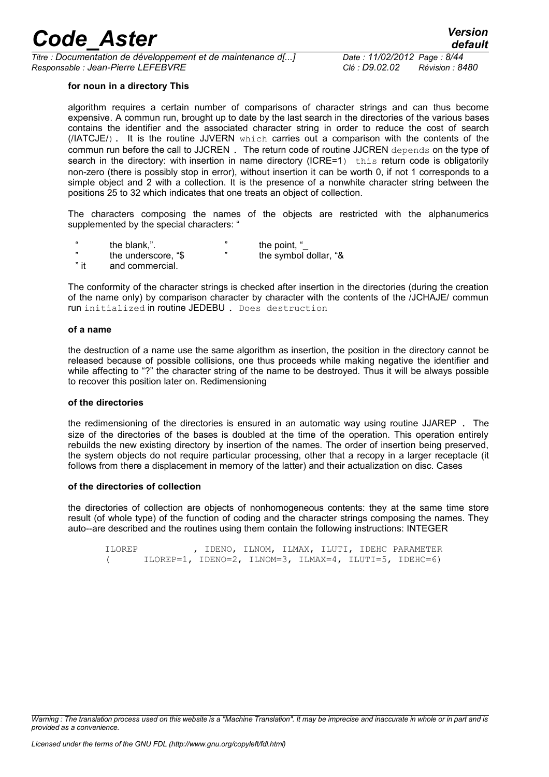*Titre : Documentation de développement et de maintenance d[...] Date : 11/02/2012 Page : 8/44 Responsable : Jean-Pierre LEFEBVRE Clé : D9.02.02 Révision : 8480*

#### **for noun in a directory This**

algorithm requires a certain number of comparisons of character strings and can thus become expensive. A commun run, brought up to date by the last search in the directories of the various bases contains the identifier and the associated character string in order to reduce the cost of search (/IATCJE/). It is the routine JJVERN which carries out a comparison with the contents of the commun run before the call to JJCREN . The return code of routine JJCREN depends on the type of search in the directory: with insertion in name directory (ICRE=1) this return code is obligatorily non-zero (there is possibly stop in error), without insertion it can be worth 0, if not 1 corresponds to a simple object and 2 with a collection. It is the presence of a nonwhite character string between the positions 25 to 32 which indicates that one treats an object of collection.

The characters composing the names of the objects are restricted with the alphanumerics supplemented by the special characters: "

| $\epsilon$ | the blank,".        | ,, | the point, $\degree$  |
|------------|---------------------|----|-----------------------|
|            | the underscore. "\$ | ,, | the symbol dollar, "& |
| " it       | and commercial.     |    |                       |

The conformity of the character strings is checked after insertion in the directories (during the creation of the name only) by comparison character by character with the contents of the /JCHAJE/ commun run initialized in routine JEDEBU . Does destruction

#### **of a name**

the destruction of a name use the same algorithm as insertion, the position in the directory cannot be released because of possible collisions, one thus proceeds while making negative the identifier and while affecting to "?" the character string of the name to be destroyed. Thus it will be always possible to recover this position later on. Redimensioning

#### **of the directories**

the redimensioning of the directories is ensured in an automatic way using routine JJAREP . The size of the directories of the bases is doubled at the time of the operation. This operation entirely rebuilds the new existing directory by insertion of the names. The order of insertion being preserved, the system objects do not require particular processing, other that a recopy in a larger receptacle (it follows from there a displacement in memory of the latter) and their actualization on disc. Cases

#### **of the directories of collection**

the directories of collection are objects of nonhomogeneous contents: they at the same time store result (of whole type) of the function of coding and the character strings composing the names. They auto--are described and the routines using them contain the following instructions: INTEGER

ILOREP , IDENO, ILNOM, ILMAX, ILUTI, IDEHC PARAMETER ( ILOREP=1, IDENO=2, ILNOM=3, ILMAX=4, ILUTI=5, IDEHC=6)

*Warning : The translation process used on this website is a "Machine Translation". It may be imprecise and inaccurate in whole or in part and is provided as a convenience.*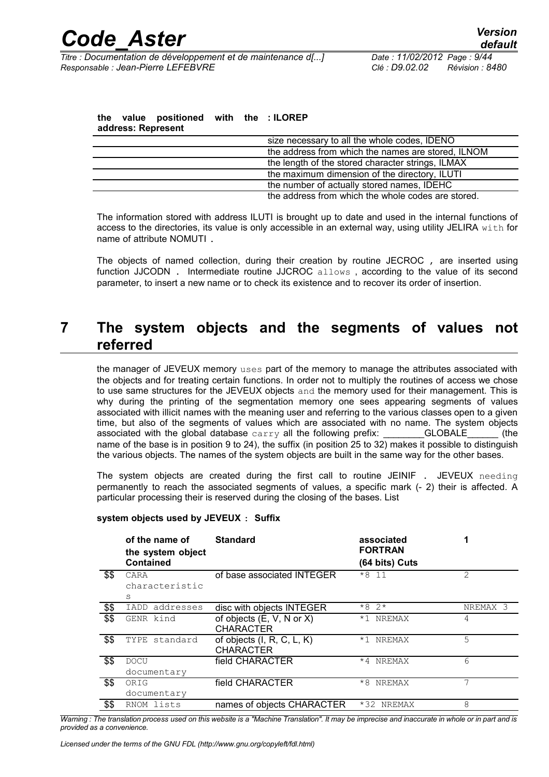| address: Represent |                                                    |
|--------------------|----------------------------------------------------|
|                    | size necessary to all the whole codes, IDENO       |
|                    | the address from which the names are stored, ILNOM |
|                    | the length of the stored character strings, ILMAX  |
|                    | the maximum dimension of the directory, ILUTI      |
|                    | the number of actually stored names, IDEHC         |
|                    | the address from which the whole codes are stored. |

#### **the value positioned with the : ILOREP address: Represent**

The information stored with address ILUTI is brought up to date and used in the internal functions of access to the directories, its value is only accessible in an external way, using utility JELIRA with for name of attribute NOMUTI .

The objects of named collection, during their creation by routine JECROC , are inserted using function JJCODN . Intermediate routine JJCROC allows , according to the value of its second parameter, to insert a new name or to check its existence and to recover its order of insertion.

### **7 The system objects and the segments of values not referred**

the manager of JEVEUX memory uses part of the memory to manage the attributes associated with the objects and for treating certain functions. In order not to multiply the routines of access we chose to use same structures for the JEVEUX objects and the memory used for their management. This is why during the printing of the segmentation memory one sees appearing segments of values associated with illicit names with the meaning user and referring to the various classes open to a given time, but also of the segments of values which are associated with no name. The system objects associated with the global database carry all the following prefix: \_\_\_\_\_\_\_\_\_GLOBALE\_\_\_\_\_\_\_ (the name of the base is in position 9 to 24), the suffix (in position 25 to 32) makes it possible to distinguish the various objects. The names of the system objects are built in the same way for the other bases.

The system objects are created during the first call to routine JEINIF. JEVEUX needing permanently to reach the associated segments of values, a specific mark (- 2) their is affected. A particular processing their is reserved during the closing of the bases. List

|      | of the name of<br>the system object<br><b>Contained</b> | <b>Standard</b>                                | associated<br><b>FORTRAN</b><br>(64 bits) Cuts |                |
|------|---------------------------------------------------------|------------------------------------------------|------------------------------------------------|----------------|
| \$\$ | CARA<br>characteristic<br>S                             | of base associated INTEGER                     | $*8$ 11                                        | $\overline{2}$ |
| \$\$ | IADD addresses                                          | disc with objects INTEGER                      | $*82*$                                         | NREMAX 3       |
| \$\$ | GENR kind                                               | of objects (E, V, N or X)<br><b>CHARACTER</b>  | *1 NREMAX                                      | 4              |
| \$\$ | TYPE<br>standard                                        | of objects (I, R, C, L, K)<br><b>CHARACTER</b> | *1 NREMAX                                      | 5              |
| \$\$ | <b>DOCU</b><br>documentary                              | field CHARACTER                                | $*4$<br>NREMAX                                 | 6              |
| \$\$ | ORIG<br>documentary                                     | field CHARACTER                                | $*8$<br><b>NREMAX</b>                          | 7              |
| \$\$ | RNOM lists                                              | names of objects CHARACTER                     | $*32$<br>NREMAX                                | 8              |

#### **system objects used by JEVEUX : Suffix**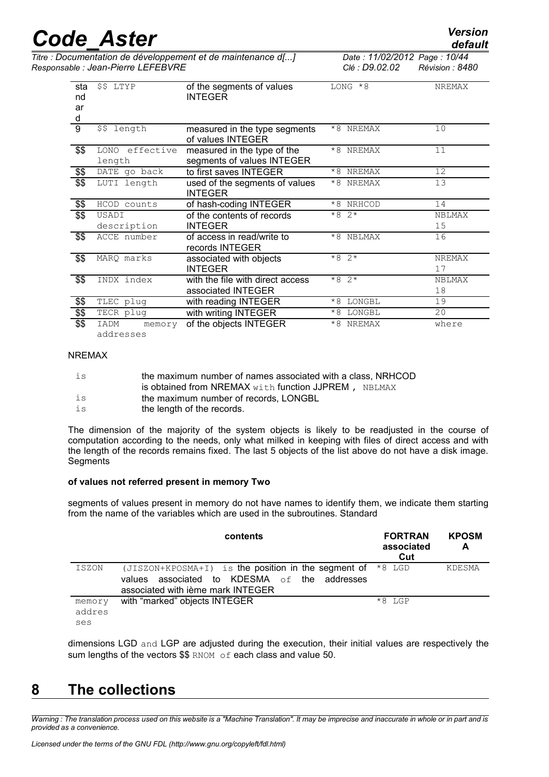| <b>Code Aster</b>                                             | Version<br>default           |
|---------------------------------------------------------------|------------------------------|
| Titre : Documentation de développement et de maintenance d[ ] | Date: 11/02/2012 Page: 10/44 |

|                              | <b>Version</b> |  |
|------------------------------|----------------|--|
|                              | default        |  |
| Date: 11/02/2012 Page: 10/44 |                |  |

*Responsable : Jean-Pierre LEFEBVRE Clé : D9.02.02 Révision : 8480* sta nd ar d \$\$ LTYP of the segments of values **INTEGER** LONG \*8 NREMAX 9 \$\$ length measured in the type segments of values INTEGER \*8 NREMAX 10 \$\$ LONO effective length measured in the type of the segments of values INTEGER \*8 NREMAX 11 \$\$ DATE go back to first saves INTEGER  $*8$  NREMAX 12 \$\$ LUTI length used of the segments of values INTEGER \*8 NREMAX 13 \$\$ HCOD counts of hash-coding INTEGER  $*8$  NRHCOD 14 \$\$ USADI description of the contents of records INTEGER \*8 2\* NBLMAX 15 **\$\$** ACCE number of access in read/write to records INTEGER  $*8$  NBLMAX  $16$ \$\$ MARQ marks associated with objects INTEGER \*8 2\* NREMAX 17 **\$\$** INDX index with the file with direct access associated INTEGER \*8 2\* NBLMAX 18 \$\$ TLEC plug with reading INTEGER \*8 LONGBL 19 \$\$ TECR plug with writing INTEGER  $*8$  LONGBL 20 \$\$ IADM memory addresses of the objects INTEGER  $*8$  NREMAX where

NREMAX

| is | the maximum number of names associated with a class. NRHCOD |
|----|-------------------------------------------------------------|
|    | is obtained from NREMAX with function JJPREM, $NBLMAX$      |
| is | the maximum number of records, LONGBL                       |
| is | the length of the records.                                  |

The dimension of the majority of the system objects is likely to be readjusted in the course of computation according to the needs, only what milked in keeping with files of direct access and with the length of the records remains fixed. The last 5 objects of the list above do not have a disk image. **Segments** 

#### **of values not referred present in memory Two**

segments of values present in memory do not have names to identify them, we indicate them starting from the name of the variables which are used in the subroutines. Standard

|        | contents                                                       | <b>FORTRAN</b><br>associated<br>Cut | <b>KPOSM</b><br>А |
|--------|----------------------------------------------------------------|-------------------------------------|-------------------|
| ISZON  | $(JISZON+KPOSMA+I)$ is the position in the segment of $*8$ LGD |                                     | KDESMA            |
|        | values associated to KDESMA of the addresses                   |                                     |                   |
|        | associated with ième mark INTEGER                              |                                     |                   |
| memory | with "marked" objects INTEGER                                  | $*8$ LGP                            |                   |
| addres |                                                                |                                     |                   |
| ses    |                                                                |                                     |                   |

dimensions LGD and LGP are adjusted during the execution, their initial values are respectively the sum lengths of the vectors \$\$ RNOM of each class and value 50.

### **8 The collections**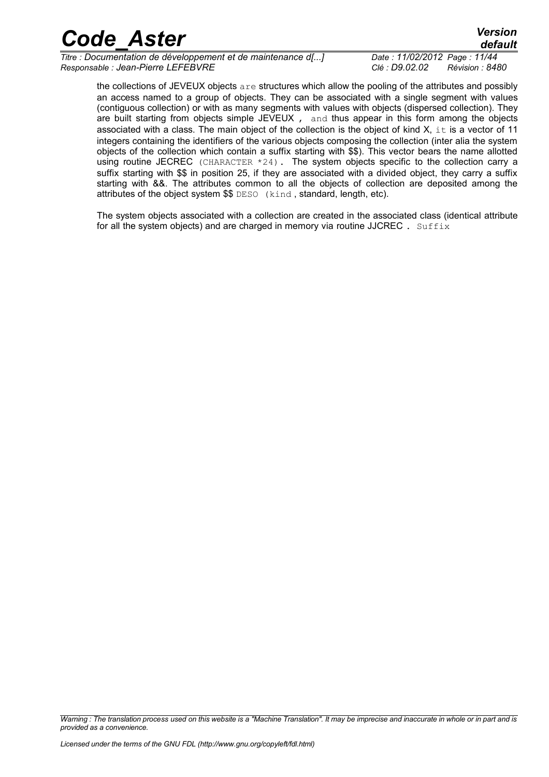| <b>Code Aster</b> | <b>Version</b> |
|-------------------|----------------|
|                   | default        |

*Titre : Documentation de développement et de maintenance d[...] Responsable : Jean-Pierre LEFEBVRE Clé : D9.02.02 Révision : 8480*

*default*

the collections of JEVEUX objects are structures which allow the pooling of the attributes and possibly an access named to a group of objects. They can be associated with a single segment with values (contiguous collection) or with as many segments with values with objects (dispersed collection). They are built starting from objects simple JEVEUX, and thus appear in this form among the objects associated with a class. The main object of the collection is the object of kind X, it is a vector of 11 integers containing the identifiers of the various objects composing the collection (inter alia the system objects of the collection which contain a suffix starting with \$\$). This vector bears the name allotted using routine JECREC (CHARACTER \*24). The system objects specific to the collection carry a suffix starting with \$\$ in position 25, if they are associated with a divided object, they carry a suffix starting with &&. The attributes common to all the objects of collection are deposited among the attributes of the object system \$\$ DESO (kind , standard, length, etc).

The system objects associated with a collection are created in the associated class (identical attribute for all the system objects) and are charged in memory via routine JJCREC. Suffix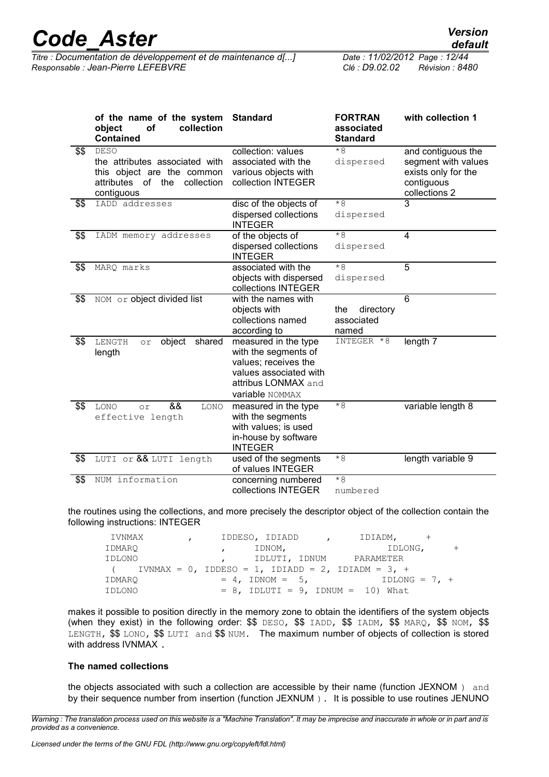*Titre : Documentation de développement et de maintenance d[...] Date : 11/02/2012 Page : 12/44 Responsable : Jean-Pierre LEFEBVRE Clé : D9.02.02 Révision : 8480*

|      | of the name of the system<br>collection<br>object<br>of<br><b>Contained</b>                                                     | <b>Standard</b>                                                                                                                          | <b>FORTRAN</b><br>associated<br><b>Standard</b> | with collection 1                                                                               |
|------|---------------------------------------------------------------------------------------------------------------------------------|------------------------------------------------------------------------------------------------------------------------------------------|-------------------------------------------------|-------------------------------------------------------------------------------------------------|
| \$\$ | <b>DESO</b><br>the attributes associated with<br>this object are the common<br>of the<br>attributes<br>collection<br>contiguous | collection: values<br>associated with the<br>various objects with<br>collection INTEGER                                                  | $\overline{\ast 8}$<br>dispersed                | and contiguous the<br>segment with values<br>exists only for the<br>contiguous<br>collections 2 |
| \$\$ | IADD addresses                                                                                                                  | disc of the objects of<br>dispersed collections<br><b>INTEGER</b>                                                                        | $*8$<br>dispersed                               | $\overline{3}$                                                                                  |
| \$\$ | IADM memory addresses                                                                                                           | of the objects of<br>dispersed collections<br><b>INTEGER</b>                                                                             | $*8$<br>dispersed                               | $\overline{4}$                                                                                  |
| \$\$ | MARQ marks                                                                                                                      | associated with the<br>objects with dispersed<br>collections INTEGER                                                                     | $\overline{8}$<br>dispersed                     | $\overline{5}$                                                                                  |
| \$\$ | NOM or object divided list                                                                                                      | with the names with<br>objects with<br>collections named<br>according to                                                                 | the<br>directory<br>associated<br>named         | $\overline{6}$                                                                                  |
| \$\$ | shared<br>object<br>LENGTH<br>or<br>length                                                                                      | measured in the type<br>with the segments of<br>values; receives the<br>values associated with<br>attribus LONMAX and<br>variable NOMMAX | INTEGER *8                                      | length 7                                                                                        |
| \$\$ | &&<br>LONO<br>LONO<br>or<br>effective length                                                                                    | measured in the type<br>with the segments<br>with values; is used<br>in-house by software<br><b>INTEGER</b>                              | $*8$                                            | variable length 8                                                                               |
| \$\$ | LUTI or && LUTI length                                                                                                          | used of the segments<br>of values INTEGER                                                                                                | $*8$                                            | length variable 9                                                                               |
| \$\$ | NUM information                                                                                                                 | concerning numbered<br>collections INTEGER                                                                                               | $*8$<br>numbered                                |                                                                                                 |

the routines using the collections, and more precisely the descriptor object of the collection contain the following instructions: INTEGER

| IVNMAX | IDDESO, IDIADD<br>$\mathbf{r}$                               | IDIADM, +       |
|--------|--------------------------------------------------------------|-----------------|
| IDMARO | IDNOM,                                                       | IDLONG,<br>$+$  |
| IDLONO | IDLUTI, IDNUM PARAMETER                                      |                 |
|        | ( IVNMAX = $0$ , IDDESO = 1, IDIADD = $2$ , IDIADM = $3$ , + |                 |
| IDMARO | $= 4$ , IDNOM $= 5$ ,                                        | IDLONG = $7. +$ |
| IDLONO | $= 8$ , IDLUTI = 9, IDNUM = 10) What                         |                 |

makes it possible to position directly in the memory zone to obtain the identifiers of the system objects (when they exist) in the following order: \$\$ DESO, \$\$ IADD, \$\$ IADM, \$\$ MARQ, \$\$ NOM, \$\$ LENGTH,  $\frac{1}{2}$  LONO,  $\frac{1}{2}$  LUTI and  $\frac{1}{2}$  NUM. The maximum number of objects of collection is stored with address IVNMAX.

#### **The named collections**

the objects associated with such a collection are accessible by their name (function JEXNOM) and by their sequence number from insertion (function JEXNUM ). It is possible to use routines JENUNO

*Warning : The translation process used on this website is a "Machine Translation". It may be imprecise and inaccurate in whole or in part and is provided as a convenience.*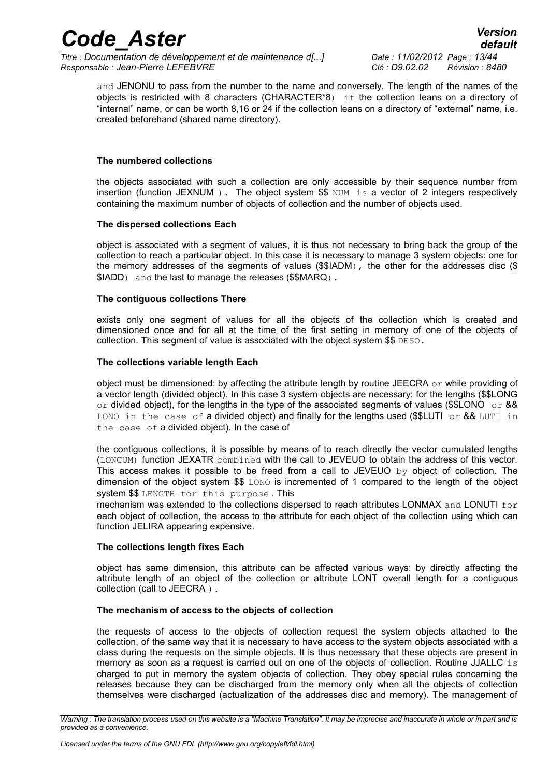*Titre : Documentation de développement et de maintenance d[...] Date : 11/02/2012 Page : 13/44 Responsable : Jean-Pierre LEFEBVRE Clé : D9.02.02 Révision : 8480*

*default*

and JENONU to pass from the number to the name and conversely. The length of the names of the objects is restricted with 8 characters (CHARACTER\*8) if the collection leans on a directory of "internal" name, or can be worth 8,16 or 24 if the collection leans on a directory of "external" name, i.e. created beforehand (shared name directory).

#### **The numbered collections**

the objects associated with such a collection are only accessible by their sequence number from insertion (function JEXNUM). The object system \$\$ NUM is a vector of 2 integers respectively containing the maximum number of objects of collection and the number of objects used.

#### **The dispersed collections Each**

object is associated with a segment of values, it is thus not necessary to bring back the group of the collection to reach a particular object. In this case it is necessary to manage 3 system objects: one for the memory addresses of the segments of values (\$\$IADM), the other for the addresses disc (\$ \$IADD) and the last to manage the releases (\$\$MARQ).

#### **The contiguous collections There**

exists only one segment of values for all the objects of the collection which is created and dimensioned once and for all at the time of the first setting in memory of one of the objects of collection. This segment of value is associated with the object system \$\$ DESO.

#### **The collections variable length Each**

object must be dimensioned: by affecting the attribute length by routine JEECRA  $\circ$ r while providing of a vector length (divided object). In this case 3 system objects are necessary: for the lengths (\$\$LONG or divided object), for the lengths in the type of the associated segments of values (\$\$LONO or && LONO in the case of a divided object) and finally for the lengths used (\$\$LUTI or  $&&$  LUTI in the case of a divided object). In the case of

the contiguous collections, it is possible by means of to reach directly the vector cumulated lengths (LONCUM) function JEXATR combined with the call to JEVEUO to obtain the address of this vector. This access makes it possible to be freed from a call to JEVEUO  $by$  object of collection. The dimension of the object system \$\$ LONO is incremented of 1 compared to the length of the object system \$\$ LENGTH for this purpose . This

mechanism was extended to the collections dispersed to reach attributes LONMAX and LONUTI  $for$ each object of collection, the access to the attribute for each object of the collection using which can function JELIRA appearing expensive.

#### **The collections length fixes Each**

object has same dimension, this attribute can be affected various ways: by directly affecting the attribute length of an object of the collection or attribute LONT overall length for a contiguous collection (call to JEECRA ).

#### **The mechanism of access to the objects of collection**

the requests of access to the objects of collection request the system objects attached to the collection, of the same way that it is necessary to have access to the system objects associated with a class during the requests on the simple objects. It is thus necessary that these objects are present in memory as soon as a request is carried out on one of the objects of collection. Routine JJALLC is charged to put in memory the system objects of collection. They obey special rules concerning the releases because they can be discharged from the memory only when all the objects of collection themselves were discharged (actualization of the addresses disc and memory). The management of

*Warning : The translation process used on this website is a "Machine Translation". It may be imprecise and inaccurate in whole or in part and is provided as a convenience.*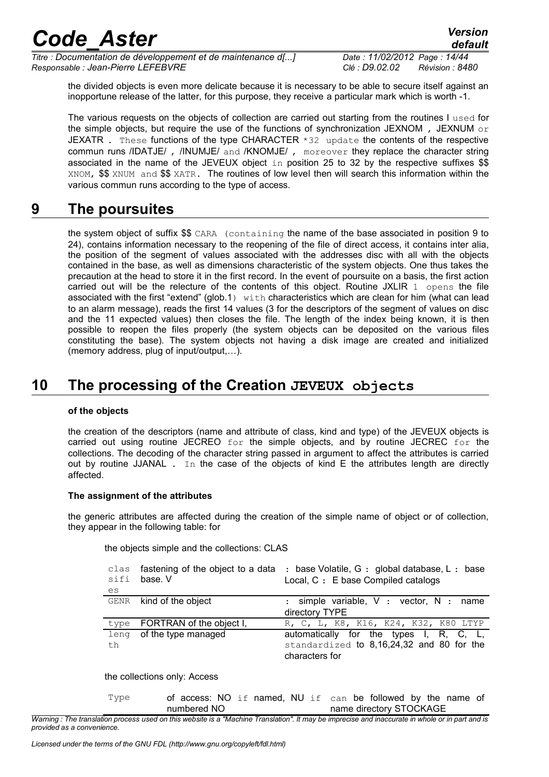*Titre : Documentation de développement et de maintenance d[...] Date : 11/02/2012 Page : 14/44 Responsable : Jean-Pierre LEFEBVRE Clé : D9.02.02 Révision : 8480*

*default*

the divided objects is even more delicate because it is necessary to be able to secure itself against an inopportune release of the latter, for this purpose, they receive a particular mark which is worth -1.

The various requests on the objects of collection are carried out starting from the routines I used for the simple objects, but require the use of the functions of synchronization JEXNOM , JEXNUM  $\circ$ r JEXATR . These functions of the type CHARACTER  $*32$  update the contents of the respective commun runs /IDATJE/, /INUMJE/ and /KNOMJE/, moreover they replace the character string associated in the name of the JEVEUX object in position 25 to 32 by the respective suffixes \$\$ XNOM, \$\$ XNUM and \$\$ XATR. The routines of low level then will search this information within the various commun runs according to the type of access.

### **9 The poursuites**

the system object of suffix \$\$ CARA (containing the name of the base associated in position 9 to 24), contains information necessary to the reopening of the file of direct access, it contains inter alia, the position of the segment of values associated with the addresses disc with all with the objects contained in the base, as well as dimensions characteristic of the system objects. One thus takes the precaution at the head to store it in the first record. In the event of poursuite on a basis, the first action carried out will be the relecture of the contents of this object. Routine JXLIR 1 opens the file associated with the first "extend" (glob.1) with characteristics which are clean for him (what can lead to an alarm message), reads the first 14 values (3 for the descriptors of the segment of values on disc and the 11 expected values) then closes the file. The length of the index being known, it is then possible to reopen the files properly (the system objects can be deposited on the various files constituting the base). The system objects not having a disk image are created and initialized (memory address, plug of input/output,…).

### **10 The processing of the Creation JEVEUX objects**

#### **of the objects**

the creation of the descriptors (name and attribute of class, kind and type) of the JEVEUX objects is carried out using routine JECREO  $for$  the simple objects, and by routine JECREC  $for$  the collections. The decoding of the character string passed in argument to affect the attributes is carried out by routine JJANAL . In the case of the objects of kind  $E$  the attributes length are directly affected.

#### **The assignment of the attributes**

the generic attributes are affected during the creation of the simple name of object or of collection, they appear in the following table: for

| es   | sifi <b>base.V</b>       | clas fastening of the object to a data : base Volatile, $G :$ global database, L : base<br>Local, C : E base Compiled catalogs |
|------|--------------------------|--------------------------------------------------------------------------------------------------------------------------------|
|      | GENR kind of the object  | : simple variable, V : vector, N : name<br>directory TYPE                                                                      |
| type | FORTRAN of the object I, | R, C, L, K8, K16, K24, K32, K80 LTYP                                                                                           |
| th   | leng of the type managed | automatically for the types I, R, C, L,<br>standardized to 8,16,24,32 and 80 for the<br>characters for                         |

the objects simple and the collections: CLAS

the collections only: Access

Type **of access: NO** if named, NU if can be followed by the name of numbered NO name directory STOCKAGE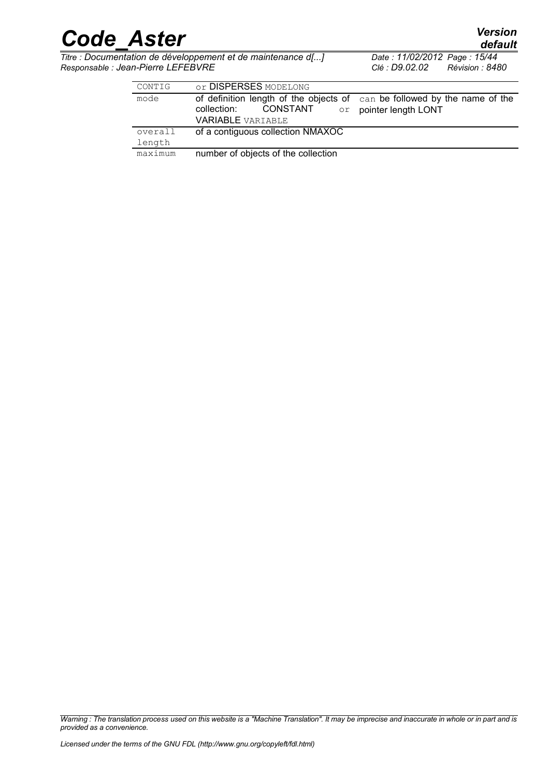| <b>Code Aster</b> | <b>Version</b> |
|-------------------|----------------|
|                   | default        |

*Titre : Documentation de développement et de maintenance d[...] Date : 11/02/2012 Page : 15/44 Responsable : Jean-Pierre LEFEBVRE Clé : D9.02.02 Révision : 8480*

*default*<br>*Date*: 11/02/2012 Page: 15/44

| CONTIG  | Or DISPERSES MODELONG                               |                                                                                                            |
|---------|-----------------------------------------------------|------------------------------------------------------------------------------------------------------------|
| mode    | CONSTANT<br>collection:<br><b>VARIABLE</b> VARIABLE | of definition length of the objects of $\cos$ can be followed by the name of the<br>or pointer length LONT |
| overall | of a contiguous collection NMAXOC                   |                                                                                                            |
| length  |                                                     |                                                                                                            |
| maximum | number of objects of the collection                 |                                                                                                            |

*Warning : The translation process used on this website is a "Machine Translation". It may be imprecise and inaccurate in whole or in part and is provided as a convenience.*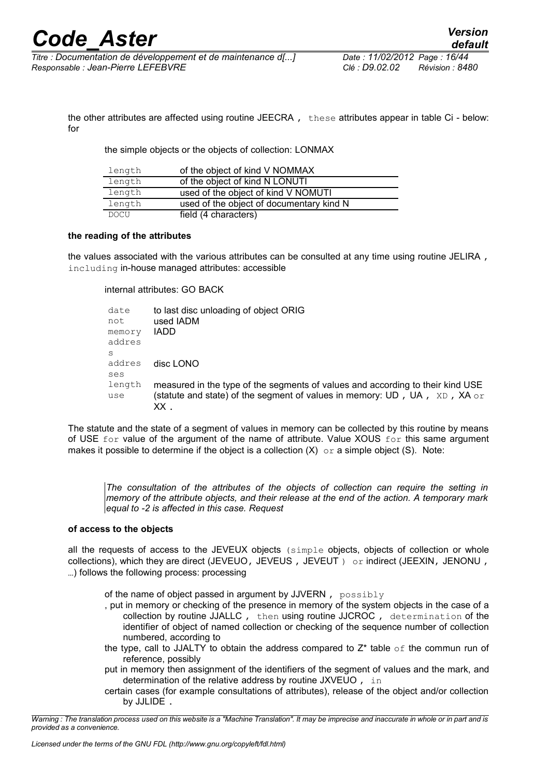the other attributes are affected using routine JEECRA , these attributes appear in table Ci - below: for

the simple objects or the objects of collection: LONMAX

| length      | of the object of kind V NOMMAX           |
|-------------|------------------------------------------|
| length      | of the object of kind N LONUTI           |
| length      | used of the object of kind V NOMUTI      |
| length      | used of the object of documentary kind N |
| <b>DOCU</b> | field (4 characters)                     |

#### **the reading of the attributes**

the values associated with the various attributes can be consulted at any time using routine JELIRA , including in-house managed attributes: accessible

internal attributes: GO BACK

| date<br>not<br>memory<br>addres | to last disc unloading of object ORIG<br>used IADM<br><b>IADD</b>                                                                                                     |
|---------------------------------|-----------------------------------------------------------------------------------------------------------------------------------------------------------------------|
| S<br>addres<br>ses              | disc LONO                                                                                                                                                             |
| length<br>use                   | measured in the type of the segments of values and according to their kind USE<br>(statute and state) of the segment of values in memory: UD, UA, $XD$ , XA or<br>XX. |

The statute and the state of a segment of values in memory can be collected by this routine by means of USE for value of the argument of the name of attribute. Value XOUS for this same argument makes it possible to determine if the object is a collection  $(X)$  or a simple object (S). Note:

*The consultation of the attributes of the objects of collection can require the setting in memory of the attribute objects, and their release at the end of the action. A temporary mark equal to -2 is affected in this case. Request*

#### **of access to the objects**

all the requests of access to the JEVEUX objects (simple objects, objects of collection or whole collections), which they are direct (JEVEUO, JEVEUS, JEVEUT) or indirect (JEEXIN, JENONU, …) follows the following process: processing

of the name of object passed in argument by JJVERN,  $_{\rm possibly}$ 

- , put in memory or checking of the presence in memory of the system objects in the case of a collection by routine JJALLC , then using routine JJCROC , determination of the identifier of object of named collection or checking of the sequence number of collection numbered, according to
- the type, call to JJALTY to obtain the address compared to  $Z^*$  table of the commun run of reference, possibly
- put in memory then assignment of the identifiers of the segment of values and the mark, and determination of the relative address by routine JXVEUO, in
- certain cases (for example consultations of attributes), release of the object and/or collection by JJLIDE .

*Warning : The translation process used on this website is a "Machine Translation". It may be imprecise and inaccurate in whole or in part and is provided as a convenience.*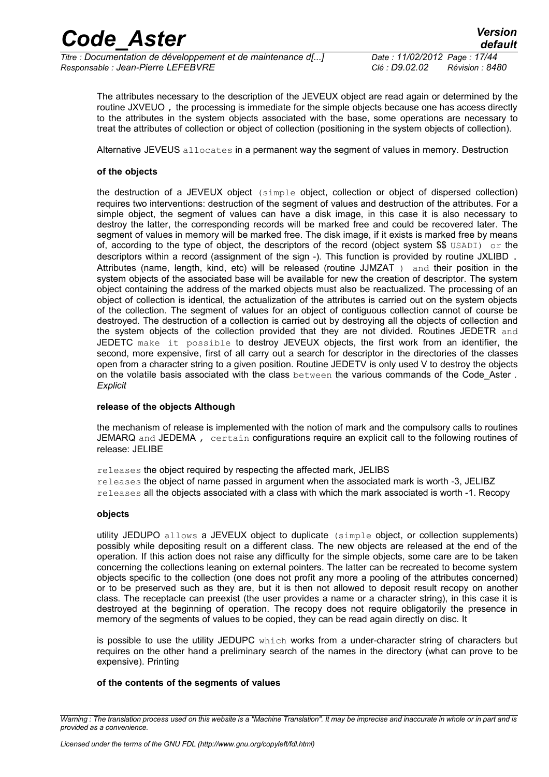*Responsable : Jean-Pierre LEFEBVRE Clé : D9.02.02 Révision : 8480*

The attributes necessary to the description of the JEVEUX object are read again or determined by the routine JXVEUO , the processing is immediate for the simple objects because one has access directly to the attributes in the system objects associated with the base, some operations are necessary to treat the attributes of collection or object of collection (positioning in the system objects of collection).

Alternative JEVEUS allocates in a permanent way the segment of values in memory. Destruction

#### **of the objects**

the destruction of a JEVEUX object (simple object, collection or object of dispersed collection) requires two interventions: destruction of the segment of values and destruction of the attributes. For a simple object, the segment of values can have a disk image, in this case it is also necessary to destroy the latter, the corresponding records will be marked free and could be recovered later. The segment of values in memory will be marked free. The disk image, if it exists is marked free by means of, according to the type of object, the descriptors of the record (object system  $\frac{1}{2}$  USADI) or the descriptors within a record (assignment of the sign -). This function is provided by routine JXLIBD . Attributes (name, length, kind, etc) will be released (routine JJMZAT ) and their position in the system objects of the associated base will be available for new the creation of descriptor. The system object containing the address of the marked objects must also be reactualized. The processing of an object of collection is identical, the actualization of the attributes is carried out on the system objects of the collection. The segment of values for an object of contiguous collection cannot of course be destroyed. The destruction of a collection is carried out by destroying all the objects of collection and the system objects of the collection provided that they are not divided. Routines JEDETR and JEDETC make it possible to destroy JEVEUX objects, the first work from an identifier, the second, more expensive, first of all carry out a search for descriptor in the directories of the classes open from a character string to a given position. Routine JEDETV is only used V to destroy the objects on the volatile basis associated with the class between the various commands of the Code\_Aster *. Explicit*

#### **release of the objects Although**

the mechanism of release is implemented with the notion of mark and the compulsory calls to routines JEMARQ and JEDEMA , certain configurations require an explicit call to the following routines of release: JELIBE

releases the object required by respecting the affected mark, JELIBS releases the object of name passed in argument when the associated mark is worth -3, JELIBZ releases all the objects associated with a class with which the mark associated is worth -1. Recopy

#### **objects**

utility JEDUPO allows a JEVEUX object to duplicate (simple object, or collection supplements) possibly while depositing result on a different class. The new objects are released at the end of the operation. If this action does not raise any difficulty for the simple objects, some care are to be taken concerning the collections leaning on external pointers. The latter can be recreated to become system objects specific to the collection (one does not profit any more a pooling of the attributes concerned) or to be preserved such as they are, but it is then not allowed to deposit result recopy on another class. The receptacle can preexist (the user provides a name or a character string), in this case it is destroyed at the beginning of operation. The recopy does not require obligatorily the presence in memory of the segments of values to be copied, they can be read again directly on disc. It

is possible to use the utility JEDUPC which works from a under-character string of characters but requires on the other hand a preliminary search of the names in the directory (what can prove to be expensive). Printing

#### **of the contents of the segments of values**

*Warning : The translation process used on this website is a "Machine Translation". It may be imprecise and inaccurate in whole or in part and is provided as a convenience.*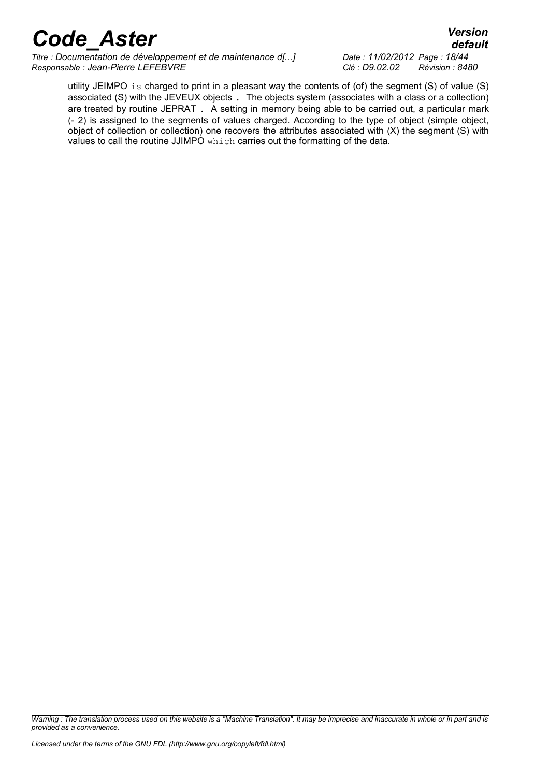*Titre : Documentation de développement et de maintenance d[...] Date : 11/02/2012 Page : 18/44 Responsable : Jean-Pierre LEFEBVRE Clé : D9.02.02 Révision : 8480*

*default*

utility JEIMPO is charged to print in a pleasant way the contents of (of) the segment (S) of value (S) associated (S) with the JEVEUX objects . The objects system (associates with a class or a collection) are treated by routine JEPRAT . A setting in memory being able to be carried out, a particular mark (- 2) is assigned to the segments of values charged. According to the type of object (simple object, object of collection or collection) one recovers the attributes associated with (X) the segment (S) with values to call the routine JJIMPO which carries out the formatting of the data.

*Warning : The translation process used on this website is a "Machine Translation". It may be imprecise and inaccurate in whole or in part and is provided as a convenience.*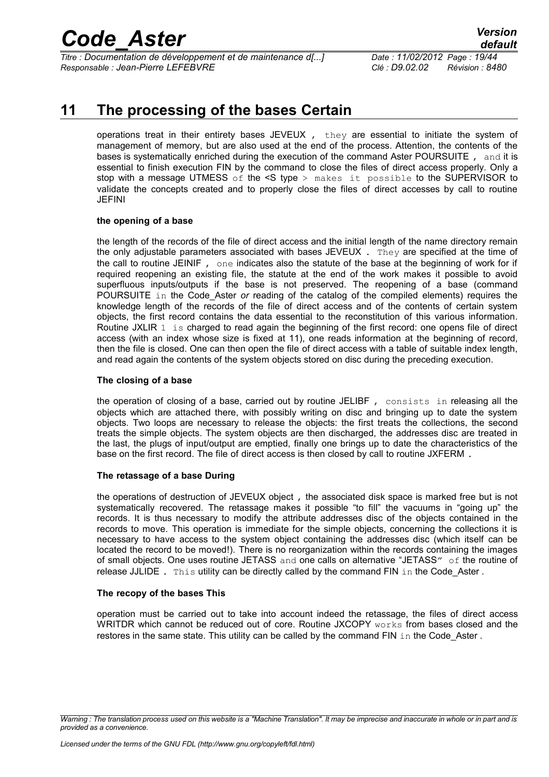*Titre : Documentation de développement et de maintenance d[...] Date : 11/02/2012 Page : 19/44 Responsable : Jean-Pierre LEFEBVRE Clé : D9.02.02 Révision : 8480*

### **11 The processing of the bases Certain**

operations treat in their entirety bases JEVEUX , they are essential to initiate the system of management of memory, but are also used at the end of the process. Attention, the contents of the bases is systematically enriched during the execution of the command Aster POURSUITE  $\mu$  and it is essential to finish execution FIN by the command to close the files of direct access properly. Only a stop with a message UTMESS of the  $\leq$  type > makes it possible to the SUPERVISOR to validate the concepts created and to properly close the files of direct accesses by call to routine JEFINI

#### **the opening of a base**

the length of the records of the file of direct access and the initial length of the name directory remain the only adjustable parameters associated with bases JEVEUX . They are specified at the time of the call to routine JEINIF, one indicates also the statute of the base at the beginning of work for if required reopening an existing file, the statute at the end of the work makes it possible to avoid superfluous inputs/outputs if the base is not preserved. The reopening of a base (command POURSUITE in the Code\_Aster *or* reading of the catalog of the compiled elements) requires the knowledge length of the records of the file of direct access and of the contents of certain system objects, the first record contains the data essential to the reconstitution of this various information. Routine JXLIR 1 is charged to read again the beginning of the first record: one opens file of direct access (with an index whose size is fixed at 11), one reads information at the beginning of record, then the file is closed. One can then open the file of direct access with a table of suitable index length, and read again the contents of the system objects stored on disc during the preceding execution.

#### **The closing of a base**

the operation of closing of a base, carried out by routine JELIBF , consists in releasing all the objects which are attached there, with possibly writing on disc and bringing up to date the system objects. Two loops are necessary to release the objects: the first treats the collections, the second treats the simple objects. The system objects are then discharged, the addresses disc are treated in the last, the plugs of input/output are emptied, finally one brings up to date the characteristics of the base on the first record. The file of direct access is then closed by call to routine JXFERM .

#### **The retassage of a base During**

the operations of destruction of JEVEUX object , the associated disk space is marked free but is not systematically recovered. The retassage makes it possible "to fill" the vacuums in "going up" the records. It is thus necessary to modify the attribute addresses disc of the objects contained in the records to move. This operation is immediate for the simple objects, concerning the collections it is necessary to have access to the system object containing the addresses disc (which itself can be located the record to be moved!). There is no reorganization within the records containing the images of small objects. One uses routine JETASS and one calls on alternative "JETASS" of the routine of release JJLIDE . This utility can be directly called by the command FIN in the Code\_Aster *.* 

#### **The recopy of the bases This**

operation must be carried out to take into account indeed the retassage, the files of direct access WRITDR which cannot be reduced out of core. Routine JXCOPY works from bases closed and the restores in the same state. This utility can be called by the command FIN in the Code\_Aster *.* 

*Warning : The translation process used on this website is a "Machine Translation". It may be imprecise and inaccurate in whole or in part and is provided as a convenience.*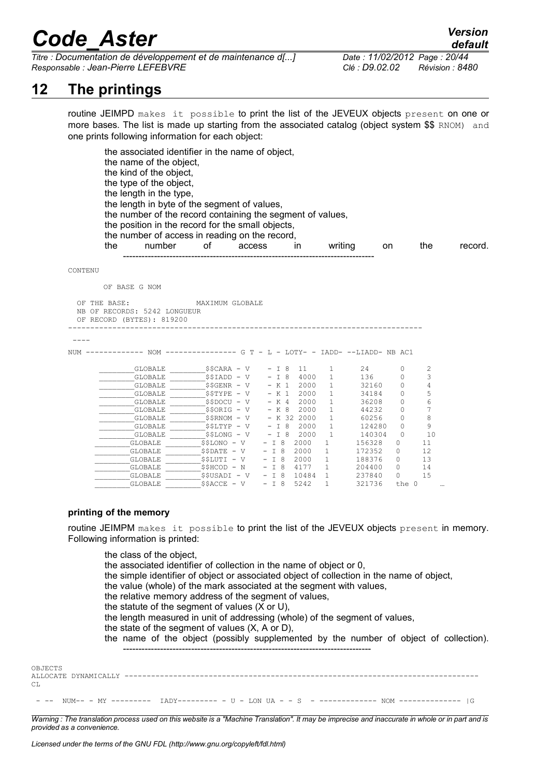*Titre : Documentation de développement et de maintenance d[...] Date : 11/02/2012 Page : 20/44 Responsable : Jean-Pierre LEFEBVRE Clé : D9.02.02 Révision : 8480*

### **12 The printings**

routine JEIMPD makes it possible to print the list of the JEVEUX objects present on one or more bases. The list is made up starting from the associated catalog (object system \$\$ RNOM) and one prints following information for each object:

the associated identifier in the name of object, the name of the object, the kind of the object, the type of the object, the length in the type, the length in byte of the segment of values, the number of the record containing the segment of values, the position in the record for the small objects, the number of access in reading on the record, the number of access in writing on the record. --------------------------------------------------------------------------------- **CONTENU** 

OF BASE G NOM

| OF.<br>ΝB<br>OF | THE BASE:<br>RECORDS: 5242 LONGUEUR<br>OF<br>RECORD (BYTES): 819200 | MAXIMUM GLOBALE |                    |               |    |                                          |          |    |
|-----------------|---------------------------------------------------------------------|-----------------|--------------------|---------------|----|------------------------------------------|----------|----|
| NUM             | <b>NOM</b>                                                          | $G$ $T -$       |                    |               |    | $I_1 - I_1$ OTY- - TADD- --IJADD- NB AC1 |          |    |
|                 | GLOBALE                                                             | $$SCARA - V$    | $-$ T $8$          | 11            | 1  | 24                                       | 0        | 2  |
|                 | <b>GLOBALE</b>                                                      | \$\$IADD - V    | $\mathbb{I}$<br>-8 | 4000          | 1  | 136                                      | 0        | 3  |
|                 | GLOBALE                                                             | $$SGENR - V$    | $- K 1$            | 2000          | 1  | 32160                                    | 0        | 4  |
|                 | GLOBALE                                                             | \$\$TYPE - V    | $- K 1$            | 2000          | 1  | 34184                                    | 0        | 5  |
|                 | GLOBALE                                                             | \$\$DOCU - V    | $- K 4$            | 2000          | 1  | 36208                                    | 0        | 6  |
|                 | GLOBALE                                                             | \$\$ORIG - V    | $- K 8$            | 2000          | 1  | 44232                                    | 0        | 7  |
|                 | <b>GLOBALE</b>                                                      | \$\$RNOM - V    |                    | $- K 32 2000$ | 1  | 60256                                    | 0        | 8  |
|                 | <b>GLOBALE</b>                                                      | \$\$LTYP - V    | $\mathbb{I}$<br>-8 | 2000          | 1  | 124280                                   | 0        | 9  |
|                 | GLOBALE                                                             | \$\$LONG - V    | T 8                | 2000          | 1  | 140304                                   | 0        | 10 |
|                 | GLOBALE                                                             | \$\$LONO - V    | $-$ T $8$          | 2000          | 1. | 156328                                   | 0        | 11 |
|                 | <b>GLOBALE</b>                                                      | $$SDATE - V$    | $-$ T $8$          | 2000          | 1  | 172352                                   | 0        | 12 |
|                 | <b>GLOBALE</b>                                                      | SSLUTI - V      | $-$ T $8$          | 2000          | 1  | 188376                                   | 0        | 13 |
|                 | <b>GLOBALE</b>                                                      | $$SHCOD - N$    | $-$ T $8$          | 4177          | 1  | 204400                                   | 0        | 14 |
|                 | GLOBALE                                                             | $$5USADI - V$   | $-$ T $8$          | 10484         | 1  | 237840                                   | $\Omega$ | 15 |
|                 | GLOBALE                                                             | $$SACCE - V$    | $- I 8$            | 5242          | 1  | 321736                                   | the 0    |    |

#### **printing of the memory**

**OBJECTS** 

 $C.L$ 

routine JEIMPM makes it possible to print the list of the JEVEUX objects present in memory. Following information is printed:

the class of the object, the associated identifier of collection in the name of object or 0, the simple identifier of object or associated object of collection in the name of object, the value (whole) of the mark associated at the segment with values, the relative memory address of the segment of values, the statute of the segment of values  $(X \text{ or } U)$ , the length measured in unit of addressing (whole) of the segment of values, the state of the segment of values (X, A or D), the name of the object (possibly supplemented by the number of object of collection). -------------------------------------------------------------------------------- ALLOCATE DYNAMICALLY --------------------------------------------------------------------------------

- -- NUM-- - MY --------- IADY--------- - U - LON UA - - S - ------------- NOM -------------- |G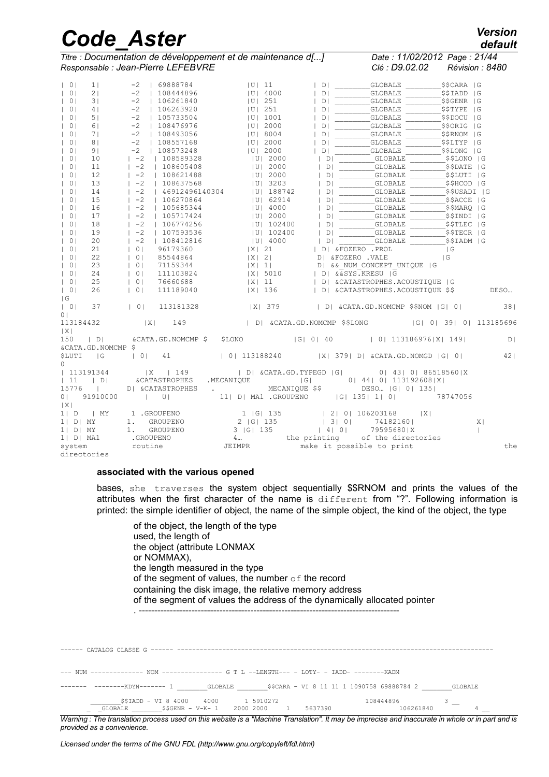*Titre : Documentation de développement et de maintenance d[...] Date : 11/02/2012 Page : 21/44 Responsable : Jean-Pierre LEFEBVRE Clé : D9.02.02 Révision : 8480*

| e: 11/02/2012 Page: 21/44 |  |
|---------------------------|--|
| ------                    |  |

*default*

| 0 <sup>1</sup><br>1 <sub>1</sub>                                    | $-2$   69888784                                                            | $ U $ 11                                                                   | D                  | GLOBALE                                 | \$\$CARA   G  |          |
|---------------------------------------------------------------------|----------------------------------------------------------------------------|----------------------------------------------------------------------------|--------------------|-----------------------------------------|---------------|----------|
| 21<br>0 <sup>1</sup>                                                | $-2$   108444896                                                           | $ U $ 4000                                                                 | D <sub>1</sub>     | <b>GLOBALE</b>                          | \$\$IADD   G  |          |
| 0 <sub>1</sub><br>3 <sup>1</sup>                                    | $-2$   106261840                                                           | $ U $ 251                                                                  | D <sub>1</sub>     | <b>GLOBALE</b>                          | \$\$GENR   G  |          |
| $\begin{array}{cc} \end{array}$<br>4 <sub>1</sub>                   | $-2$  <br>106263920                                                        | $ U $ 251                                                                  | D                  | GLOBALE                                 | \$\$TYPE   G  |          |
| 51<br>0 <sup>1</sup>                                                | $-2$   105733504                                                           | <b>IUI 1001</b>                                                            | D <sub>1</sub>     | <b>GLOBALE</b>                          | \$\$DOCU   G  |          |
| 0 <sub>1</sub><br>6                                                 | $-2$  <br>108476976                                                        | $ U $ 2000                                                                 | D                  | GLOBALE                                 | \$\$ORIG   G  |          |
| 0 <sub>1</sub><br>7 <sub>1</sub>                                    | $-2$<br>108493056                                                          | $ U $ 8004                                                                 | D                  | <b>GLOBALE</b>                          | \$\$RNOM   G  |          |
| $\begin{array}{cc} \end{array}$<br>8 <sub>1</sub>                   | $-2$   108557168                                                           | $ U $ 2000                                                                 | D                  | GLOBALE                                 | \$\$LTYP   G  |          |
| 0 <sub>1</sub><br>9 <sub>1</sub>                                    | $-2$  <br>108573248                                                        | $ U $ 2000                                                                 | D                  | GLOBALE                                 | \$\$LONG G    |          |
| 0 <sup>1</sup><br>10                                                | $1 -2$<br>  108589328                                                      | $ U $ 2000                                                                 | D <sub>1</sub>     | GLOBALE                                 | \$\$LONO   G  |          |
| 0 <sub>1</sub><br>11                                                | $-2$<br>  108605408                                                        | $ U $ 2000                                                                 | D <sub>1</sub>     | <b>GLOBALE</b>                          | \$\$DATE   G  |          |
| 12<br>0 <sup>1</sup>                                                | $-2$   108621488                                                           | $ U $ 2000                                                                 | D <sub>1</sub>     | <b>GLOBALE</b>                          | \$\$LUTI   G  |          |
| $\begin{array}{cc} \end{array}$<br>13                               | $-2$   108637568                                                           | $ U $ 3203                                                                 | D <sub>1</sub>     | <b>GLOBALE</b>                          | \$\$HCOD   G  |          |
| 0 <sub>1</sub><br>14                                                | $-2$   46912496140304                                                      | UU 188742                                                                  | $D \mid$           | <b>GLOBALE</b>                          | \$\$USADI   G |          |
| 0 <sup>1</sup><br>15                                                | $-2$   106270864                                                           | $ U $ 62914                                                                | D <sub>1</sub>     | <b>GLOBALE</b>                          | \$\$ACCE   G  |          |
| 0 <sub>1</sub><br>16                                                | $-2$   105685344                                                           | $ U $ 4000                                                                 | D <sub>1</sub>     | <b>GLOBALE</b>                          | \$\$MARQ   G  |          |
| $\begin{array}{cc} \end{array}$<br>17                               |                                                                            | $ U $ 2000                                                                 | D <sub>1</sub>     | <b>GLOBALE</b>                          | \$\$INDI   G  |          |
| $\begin{array}{cc} \end{array}$<br>18                               | -2   105717424<br>-2   106774256                                           | UI 102400                                                                  | D <sub>1</sub>     | <b>GLOBALE</b>                          | \$\$TLEC   G  |          |
| 0 <sup>1</sup><br>19                                                | $-2$   107593536                                                           | $ U $ 102400                                                               | D                  | GLOBALE                                 | \$\$TECR   G  |          |
| 20<br>0 <sup>1</sup>                                                | $-2$<br>  108412816                                                        | $ U $ 4000                                                                 | D                  | GLOBALE                                 | \$\$IADM   G  |          |
| 0 <sub>1</sub><br>21                                                | 0 <sup>1</sup><br>96179360                                                 | $ X $ 21                                                                   | D  &FOZERO .PROL   |                                         | $\mid G$      |          |
| 22<br> 0                                                            | 0 <sub>1</sub><br>85544864                                                 | $ X $ 2                                                                    |                    | D  &FOZERO .VALE                        | $\mid G \mid$ |          |
| $\begin{array}{cc} \end{array}$<br>23                               | 0 <sub>1</sub><br>71159344                                                 | $ X $ 1                                                                    |                    | D  && NUM CONCEPT UNIQUE   G            |               |          |
| 24<br>$\begin{vmatrix} 1 & 0 \\ 0 & 1 \end{vmatrix}$                | 0 <sub>1</sub><br>111103824                                                | X  5010                                                                    | D  &&SYS.KRESU   G |                                         |               |          |
| 25<br>$\begin{vmatrix} 1 & 0 \\ 0 & 1 \end{vmatrix}$                | $\begin{array}{cc} \begin{array}{cc} \end{array} \end{array}$<br>76660688  | $ X $ 11                                                                   |                    | D  &CATASTROPHES.ACOUSTIQUE   G         |               |          |
| 0 <br>26                                                            | 111189040<br>$\begin{array}{cc} \begin{array}{cc} \end{array} \end{array}$ | $ X $ 136                                                                  |                    | D  &CATASTROPHES.ACOUSTIQUE \$\$ DESO   |               |          |
| G                                                                   |                                                                            |                                                                            |                    |                                         |               |          |
| $\begin{array}{cc} \begin{array}{cc} \end{array} \end{array}$<br>37 |                                                                            | 0  113181328   X  379   D  &CATA.GD.NOMCMP \$\$NOM   G  0  38              |                    |                                         |               |          |
| 0 <sup>1</sup>                                                      |                                                                            |                                                                            |                    |                                         |               |          |
|                                                                     |                                                                            | 113184432   X  149   D  & CATA.GD.NOMCMP \$\$LONG   G  0  39  0  113185696 |                    |                                         |               |          |
| X                                                                   |                                                                            |                                                                            |                    |                                         |               |          |
| 150<br> D                                                           |                                                                            | & CATA.GD.NOMCMP \$\$LONO (G  0  40   0  113186976 X  149  D               |                    |                                         |               |          |
| & CATA.GD. NOMCMP\$                                                 |                                                                            |                                                                            |                    |                                         |               |          |
| <b>\$LUTI</b><br>$\Box$                                             |                                                                            | 0  41   0  113188240   X  379  D  & CATA.GD.NOMGD   G  0  42               |                    |                                         |               |          |
| $\Omega$                                                            |                                                                            |                                                                            |                    |                                         |               |          |
| 113191344                                                           |                                                                            | X   149   D  &CATA.GD.TYPEGD  G  0  43  0  86518560 X                      |                    |                                         |               |          |
| $\vert$ 11 $\vert$ D                                                | & CATASTROPHES                                                             |                                                                            |                    |                                         |               |          |
| 15776                                                               |                                                                            |                                                                            |                    |                                         |               |          |
| $0 \mid$<br>91910000                                                |                                                                            | U  11 D MA1 GROUPENO   G 135   1   0   78747056                            |                    |                                         |               |          |
| X                                                                   |                                                                            |                                                                            |                    |                                         |               |          |
| MY<br>$1 \mid D$                                                    | 1 .GROUPENO                                                                | 1   G   135                                                                |                    | $ 2 0 106203168$   X                    |               |          |
| $1$   $D$   $MY$                                                    | 1. GROUPENO                                                                | 2   G   135<br>3   G   135                                                 |                    | 3  0  74182160 <br>$ 4 0 $ 79595680   X |               | $X \mid$ |
| MY<br>$1$   $D$                                                     | 1. GROUPENO                                                                |                                                                            |                    |                                         |               |          |
| $1$   $D$   $MA1$                                                   | .GROUPENO                                                                  | 4 The printing of the directories<br>JEIMPR make it possible to print      |                    |                                         |               |          |
| system                                                              | routine                                                                    |                                                                            |                    |                                         |               | the      |
| directories                                                         |                                                                            |                                                                            |                    |                                         |               |          |

#### **associated with the various opened**

bases, she traverses the system object sequentially \$\$RNOM and prints the values of the attributes when the first character of the name is different from "?". Following information is printed: the simple identifier of object, the name of the simple object, the kind of the object, the type

of the object, the length of the type used, the length of the object (attribute LONMAX or NOMMAX), the length measured in the type of the segment of values, the number  $\circ$  f the record containing the disk image, the relative memory address of the segment of values the address of the dynamically allocated pointer . ------------------------------------------------------------------------------------

| --- NUM ------------- NOM -------------- G T I, --I.ENGTH--- - I.OTY- - IADD- --------KADM |  |                          |         |
|--------------------------------------------------------------------------------------------|--|--------------------------|---------|
| ------- -------KDYN------ 1     GLOBALE      \$\$CARA - VI 8 11 11 1 1090758 69888784 2    |  |                          | GLOBALE |
| \$\$IADD - VI 8 4000 4000 1 5910272                                                        |  | 108444896 3<br>106261840 |         |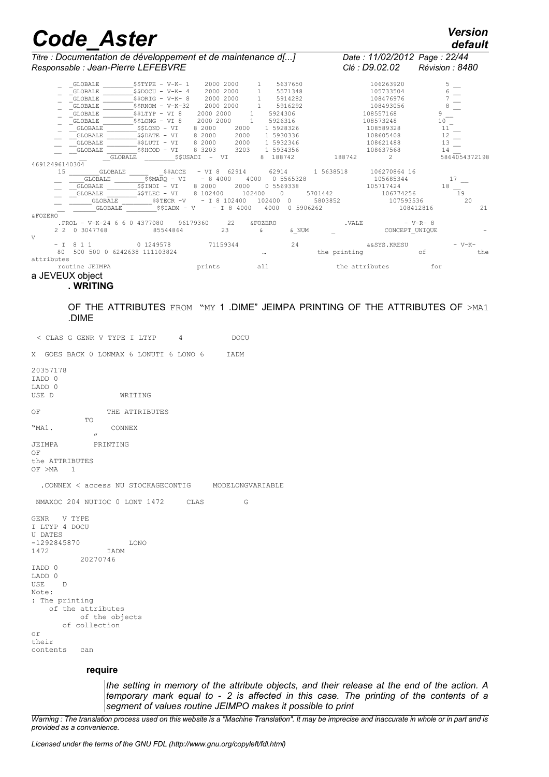| <b>Code Aster</b>                                                                                                                                                                                                                                                                                                                                                |                                                                                                                                                                                             |                                                                                                                                                                                                             |                                 |                                                                                                                                                 | Version<br>default                         |
|------------------------------------------------------------------------------------------------------------------------------------------------------------------------------------------------------------------------------------------------------------------------------------------------------------------------------------------------------------------|---------------------------------------------------------------------------------------------------------------------------------------------------------------------------------------------|-------------------------------------------------------------------------------------------------------------------------------------------------------------------------------------------------------------|---------------------------------|-------------------------------------------------------------------------------------------------------------------------------------------------|--------------------------------------------|
| Titre : Documentation de développement et de maintenance d[]                                                                                                                                                                                                                                                                                                     |                                                                                                                                                                                             |                                                                                                                                                                                                             |                                 |                                                                                                                                                 | Date: 11/02/2012 Page: 22/44               |
| Responsable : Jean-Pierre LEFEBVRE                                                                                                                                                                                                                                                                                                                               |                                                                                                                                                                                             |                                                                                                                                                                                                             |                                 | Clé : D9.02.02                                                                                                                                  | Révision : 8480                            |
| $SSTYPE - V-K- 1$<br>GLOBALE<br>$$SDOCU - V-K- 4$<br><b>GLOBALE</b><br>$$5ORIG - V-K- 8$<br><b>GLOBALE</b><br><b>GLOBALE</b><br>$SSRNOM - V-K-32$<br>SSLTYP - VI 8<br><b>GLOBALE</b><br>SSLONG - VI 8<br><b>GLOBALE</b><br>\$\$LONO - VI<br>GLOBALE<br>\$\$DATE - VI<br>GLOBALE<br>GLOBALE<br>\$\$LUTI - VI<br><b>GLOBALE</b><br>\$\$HCOD - VI<br><b>GLOBALE</b> | 2000 2000<br>2000 2000<br>2000 2000<br>2000 2000<br>2000 2000<br>2000 2000<br>8 2000<br>2000<br>8 2000<br>2000<br>2000<br>8 2000<br>8 3203<br>3203<br><i><b>SSUSADI</b></i><br>VI<br>$\sim$ | 5637650<br>1<br>5571348<br>$\mathbf{1}$<br>5914282<br>$\mathbf{1}$<br>$\mathbf{1}$<br>5916292<br>5924306<br>1<br>$\mathbf{1}$<br>5926316<br>1 5928326<br>1 5930336<br>1 5932346<br>1 5934356<br>188742<br>8 | 188742                          | 106263920<br>105733504<br>108476976<br>108493056<br>108557168<br>108573248<br>108589328<br>108605408<br>108621488<br>108637568<br>$\mathcal{L}$ | 5<br>11<br>12<br>13<br>14<br>5864054372198 |
| 46912496140304                                                                                                                                                                                                                                                                                                                                                   |                                                                                                                                                                                             |                                                                                                                                                                                                             |                                 |                                                                                                                                                 |                                            |
| 1.5<br><b>GLOBALE</b><br>\$\$ACCE<br>\$\$MARO - VI<br><b>GLOBALE</b><br>\$\$INDI - VI<br><b>GLOBALE</b><br>\$\$TLEC - VI<br><b>GLOBALE</b><br>\$\$TECR -V<br><b>GLOBALE</b><br>\$\$IADM - V<br><b>GLOBALE</b>                                                                                                                                                    | $- VI 8 62914$<br>$-84000$<br>8 2000<br>2000<br>8 102400<br>$- I 8 102400$<br>$- I 8 4000$                                                                                                  | 62914<br>4000<br>0 5565328<br>0 5569338<br>102400<br>$\Omega$<br>102400<br>$\circ$<br>4000<br>0 5906262                                                                                                     | 1 5638518<br>5701442<br>5803852 | 106270864 16<br>105685344<br>105717424<br>106774256<br>107593536<br>108412816                                                                   | 17<br>18<br>$\overline{1}9$<br>20<br>21    |
| & FOZERO                                                                                                                                                                                                                                                                                                                                                         |                                                                                                                                                                                             |                                                                                                                                                                                                             |                                 |                                                                                                                                                 |                                            |
| PROL - V-K-24 6 6 0 4377080<br>2 2 0 3047768<br>85544864<br>V                                                                                                                                                                                                                                                                                                    | 96179360<br>2.2<br>23                                                                                                                                                                       | &FOZERO<br>& NUM<br>&                                                                                                                                                                                       | .VALE                           | CONCEPT UNIQUE                                                                                                                                  | $- V - R - 8$                              |
| 8 1 1<br>0 1249578<br>$-$ T<br>6242638 111103824<br>500 500 0<br>80                                                                                                                                                                                                                                                                                              | 71159344                                                                                                                                                                                    | 24                                                                                                                                                                                                          | the printing                    | &&SYS.KRESU                                                                                                                                     | $- V-K-$<br>of<br>the                      |
| attributes                                                                                                                                                                                                                                                                                                                                                       |                                                                                                                                                                                             |                                                                                                                                                                                                             |                                 |                                                                                                                                                 |                                            |
| routine JEIMPA<br>$-$ 100 $(0.1137 - 1.125)$                                                                                                                                                                                                                                                                                                                     | prints                                                                                                                                                                                      | all                                                                                                                                                                                                         | the attributes                  |                                                                                                                                                 | for                                        |

#### a JEVEUX object **. WRITING**

OF THE ATTRIBUTES FROM "MY 1 .DIME" JEIMPA PRINTING OF THE ATTRIBUTES OF >MA1 .DIME

< CLAS G GENR V TYPE I LTYP 4 DOCU

X GOES BACK 0 LONMAX 6 LONUTI 6 LONO 6 IADM

20357178 IADD 0 LADD 0 USE D WRITING  $OF$ THE ATTRIBUTES "MA1. . CONNEX " JEIMPA PRINTING OF the ATTRIBUTES<br>OF >MA 1 OF >MA 1 .CONNEX < access NU STOCKAGECONTIG MODELONGVARIABLE NMAXOC 204 NUTIOC 0 LONT 1472 CLAS G GENR V TYPE I LTYP 4 DOCU U DATES -1292845870 LONO 1472 IADM 20270746 IADD 0 LADD 0 USE D Note: : The printing of the attributes of the objects of collection or their contents can

#### **require**

*the setting in memory of the attribute objects, and their release at the end of the action. A temporary mark equal to - 2 is affected in this case. The printing of the contents of a segment of values routine JEIMPO makes it possible to print*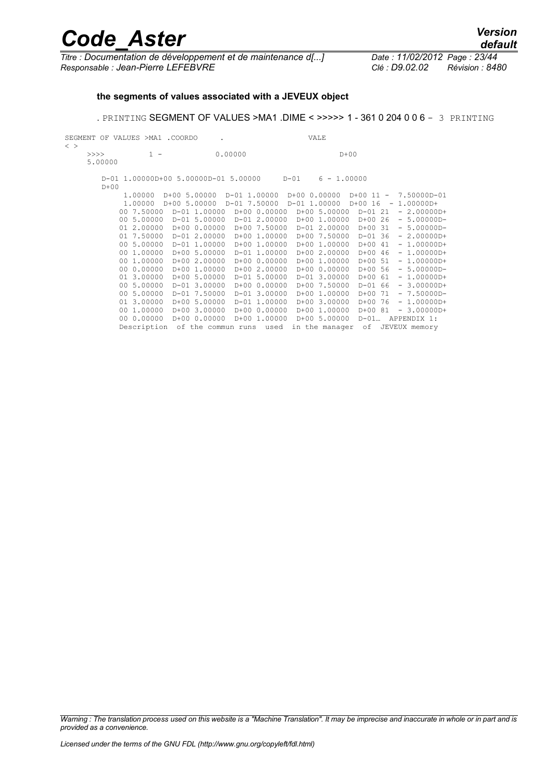*Titre : Documentation de développement et de maintenance d[...] Responsable : Jean-Pierre LEFEBVRE Clé : D9.02.02 Révision : 8480*

#### **the segments of values associated with a JEVEUX object**

#### . PRINTING SEGMENT OF VALUES >MA1 .DIME < >>>>> 1 - 361 0 204 0 0 6 - 3 PRINTING

| SEGMENT OF VALUES >MA1 .COORDO                |                                      |                  | VALE                  |                                                  |
|-----------------------------------------------|--------------------------------------|------------------|-----------------------|--------------------------------------------------|
| $\langle \rangle$<br>>>>><br>$1 -$<br>5.00000 |                                      | 0.00000          | $D+OO$                |                                                  |
| $D+OO$                                        | D-01 1.00000D+00 5.00000D-01 5.00000 |                  | D-01<br>$6 - 1.00000$ |                                                  |
| 1,00000                                       | D+00 5.00000                         | D-01 1.00000     | D+00 0.00000          | $D+00$ 11 -<br>7.50000D-01                       |
| 1,00000                                       | D+00 5.00000                         | D-01 7.50000     | D-01 1.00000          | D+00 16<br>1.00000D+<br>$\overline{\phantom{m}}$ |
| 00 7.50000                                    | $D-01$ 1.00000                       | D+00 0.00000     | D+00 5.00000          | $D - 01$ 21<br>$-2.00000D+$                      |
| 00 5.00000                                    | $D-01$ 5.00000                       | $D - 01$ 2.00000 | D+00 1.00000          | $D+00$ 26<br>$-5.00000D-$                        |
| 01 2,00000                                    | D+00 0.00000                         | D+00 7.50000     | $D - 01$ 2.00000      | $D+00$ 31<br>$-5.00000D-$                        |
| 01 7.50000                                    | $D-01$ 2.00000                       | D+00 1.00000     | D+00 7.50000          | $D - 01$ 36<br>$-2.00000D+$                      |
| 00 5,00000                                    | $D-01$ 1.00000                       | D+00 1.00000     | D+00 1.00000          | D+00 41<br>$-1.00000D+$                          |
| 00 1,00000                                    | D+00 5.00000                         | $D-01$ 1.00000   | D+00 2.00000          | $D+00$ 46<br>$-1.00000D+$                        |
| 00 1.00000                                    | D+00 2.00000                         | D+00 0.00000     | D+00 1.00000          | D+00 51<br>$-1.00000D+$                          |
| 00 0.00000                                    | D+00 1.00000                         | D+00 2.00000     | D+00 0.00000          | D+00 56<br>$-5.00000D-$                          |
| 01 3.00000                                    | D+00 5.00000                         | $D-01$ 5.00000   | $D - 01$ 3.00000      | D+00 61<br>$-1.00000D+$                          |
| 00 5.00000                                    | $D-01$ 3.00000                       | D+00 0.00000     | D+00 7.50000          | $D-0166$<br>$-3.00000D+$                         |
| 00 5.00000                                    | D-01 7.50000                         | D-01 3.00000     | D+00 1.00000          | $D+O O$<br>$-7.50000D -$<br>71                   |
| 01 3.00000                                    | D+00 5.00000                         | D-01 1.00000     | D+00 3.00000          | D+00 76<br>$-1.00000D+$                          |
| 00 1,00000                                    | D+00 3.00000                         | D+00 0.00000     | D+00 1.00000          | D+00 81<br>$-3.00000D+$                          |
| 00 0.00000                                    | D+00 0.00000                         | D+00 1.00000     | D+00 5.00000          | $D - 01$<br>APPENDIX 1:                          |
|                                               | Description of the commun runs used  |                  | in the manager        | of<br>JEVEUX memory                              |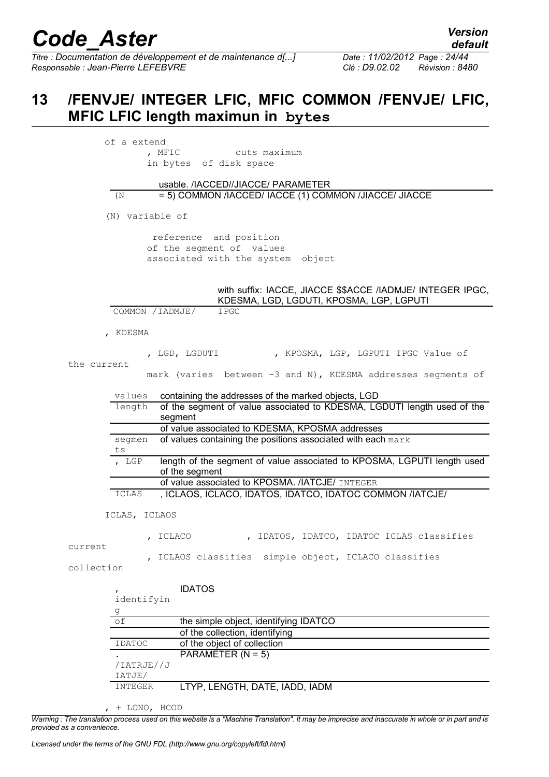*Titre : Documentation de développement et de maintenance d[...] Date : 11/02/2012 Page : 24/44 Responsable : Jean-Pierre LEFEBVRE Clé : D9.02.02 Révision : 8480*

### **13 /FENVJE/ INTEGER LFIC, MFIC COMMON /FENVJE/ LFIC, MFIC LFIC length maximun in bytes**

 , MFIC cuts maximum in bytes of disk space

usable. /IACCED//JIACCE/ PARAMETER  $(N = 5)$  COMMON /IACCED/ IACCE (1) COMMON /JIACCE/ JIACCE

(N) variable of

 reference and position of the segment of values associated with the system object

#### with suffix: IACCE, JIACCE \$\$ACCE /IADMJE/ INTEGER IPGC, KDESMA, LGD, LGDUTI, KPOSMA, LGP, LGPUTI

COMMON /IADMJE/ IPGC

, KDESMA

|             | , LGD, LGDUTI |  |  | , KPOSMA, LGP, LGPUTI IPGC Value of |  |
|-------------|---------------|--|--|-------------------------------------|--|
| the current |               |  |  |                                     |  |

#### mark (varies between -3 and N), KDESMA addresses segments of

values containing the addresses of the marked objects, LGD

| length | of the segment of value associated to KDESMA, LGDUTI length used of the |
|--------|-------------------------------------------------------------------------|
|        | segment                                                                 |
|        | of value associated to KDESMA, KPOSMA addresses                         |
| segmen | of values containing the positions associated with each mark            |
| ts     |                                                                         |
| LGP    | length of the segment of value associated to KPOSMA, LGPUTI length used |
|        | of the segment                                                          |
|        | of value associated to KPOSMA. /IATCJE/ INTEGER                         |
| ICLAS  | , ICLAOS, ICLACO, IDATOS, IDATCO, IDATOC COMMON /IATCJE/                |

ICLAS, ICLAOS

, ICLACO , IDATOS, IDATCO, IDATOC ICLAS classifies current , ICLAOS classifies simple object, ICLACO classifies

collection

,

#### IDATOS

| identifyin |                                       |
|------------|---------------------------------------|
| g          |                                       |
| of         | the simple object, identifying IDATCO |
|            | of the collection, identifying        |
| IDATOC     | of the object of collection           |
|            | PARAMETER ( $N = 5$ )                 |
| /IATRJE//J |                                       |
| IATJE/     |                                       |
| INTEGER    | LTYP, LENGTH, DATE, IADD, IADM        |

, + LONO, HCOD

*Warning : The translation process used on this website is a "Machine Translation". It may be imprecise and inaccurate in whole or in part and is provided as a convenience.*

*default*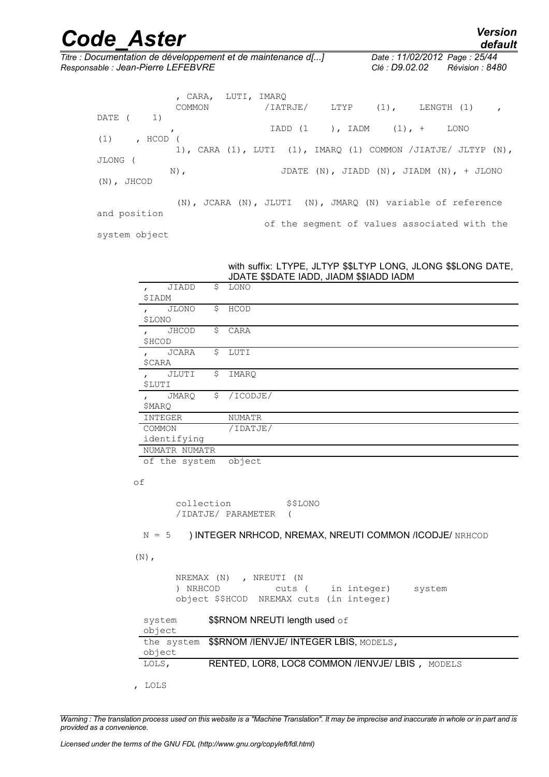*Responsable : Jean-Pierre LEFEBVRE Clé : D9.02.02 Révision : 8480*

|                    | , CARA,<br>COMMON | LUTI, IMARO | $/IATRJE/$ LTYP $(1)$ ,       | LENGTH (1)                                                          | $\mathbf{r}$ |
|--------------------|-------------------|-------------|-------------------------------|---------------------------------------------------------------------|--------------|
| 1)<br>DATE (       |                   |             |                               |                                                                     |              |
|                    |                   |             | $IADD (1)$ , $IADM (1)$ , $+$ | LONO                                                                |              |
| (1)<br>, $H COD$ ( |                   |             |                               |                                                                     |              |
|                    | $1)$ ,            |             |                               | CARA $(1)$ , LUTI $(1)$ , IMARQ $(1)$ COMMON $/JIATJE/ JLTYP (N)$ , |              |
| JLONG              |                   |             |                               |                                                                     |              |
|                    | $N)$ ,            |             |                               | JDATE $(N)$ , JIADD $(N)$ , JIADM $(N)$ , + JLONO                   |              |
| $(N)$ , JHCOD      |                   |             |                               |                                                                     |              |
|                    |                   |             |                               |                                                                     |              |
|                    | $(N)$ .           |             |                               | JCARA (N), JLUTI (N), JMARQ (N) variable of reference               |              |
| and position       |                   |             |                               |                                                                     |              |
|                    |                   |             |                               | of the seqment of values associated with the                        |              |
| system object      |                   |             |                               |                                                                     |              |

|               | JIADD         | \$ | LONO          |  |
|---------------|---------------|----|---------------|--|
| \$IADM        |               |    |               |  |
|               | JLONO         | \$ | HCOD          |  |
| \$LONO        |               |    |               |  |
|               | JHCOD         | \$ | CARA          |  |
| <b>\$HCOD</b> |               |    |               |  |
|               | <b>JCARA</b>  | \$ | LUTI          |  |
| \$CARA        |               |    |               |  |
|               | JLUTI         | \$ | IMARO         |  |
| \$LUTI        |               |    |               |  |
|               | JMARQ         | \$ | /ICODJE/      |  |
| <b>\$MARQ</b> |               |    |               |  |
|               | INTEGER       |    | NUMATR        |  |
|               | COMMON        |    | /IDATJE/      |  |
| identifying   |               |    |               |  |
|               | NUMATR NUMATR |    |               |  |
|               |               |    | $\sim$ $\sim$ |  |

#### with suffix: LTYPE, JLTYP \$\$LTYP LONG, JLONG \$\$LONG DATE, JDATE \$\$DATE IADD, JIADM \$\$IADD IADM

of the system object

#### of

 collection \$\$LONO /IDATJE/ PARAMETER (

#### $N = 5$  ) INTEGER NRHCOD, NREMAX, NREUTI COMMON /ICODJE/ NRHCOD

#### $(N)$ ,

 NREMAX (N) , NREUTI (N ) NRHCOD cuts ( in integer) system object \$\$HCOD NREMAX cuts (in integer)

| system<br>object | $$SRNOM NREUTI$ length used of                     |
|------------------|----------------------------------------------------|
| object           | the system \$\$RNOM / IENVJE/INTEGER LBIS, MODELS, |
| LOLS,            | RENTED, LOR8, LOC8 COMMON / IENVJE/ LBIS, MODELS   |
| LOLS             |                                                    |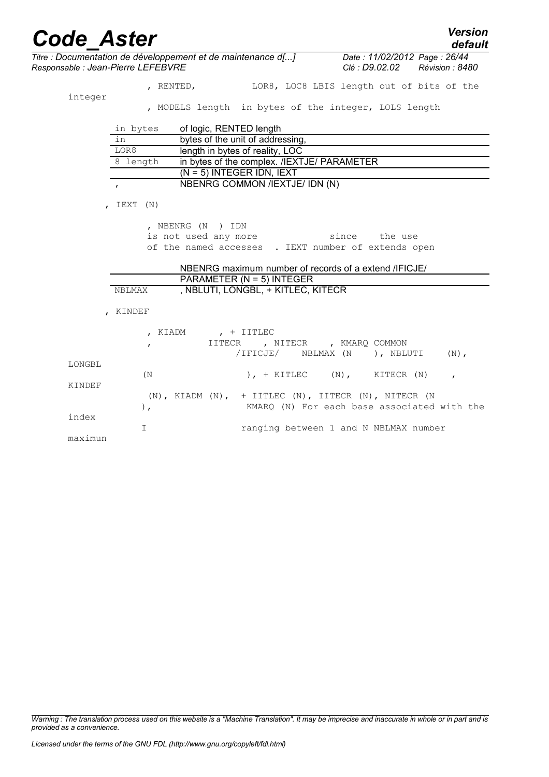| <b>Code Aster</b>                  |                   |                                                                    |                                                | <b>Version</b><br>default |
|------------------------------------|-------------------|--------------------------------------------------------------------|------------------------------------------------|---------------------------|
| Responsable : Jean-Pierre LEFEBVRE |                   | Titre : Documentation de développement et de maintenance d[]       | Date: 11/02/2012 Page: 26/44<br>Clé : D9.02.02 | Révision : 8480           |
|                                    |                   | , RENTED, LOR8, LOC8 LBIS length out of bits of the                |                                                |                           |
| integer                            |                   | , MODELS length in bytes of the integer, LOLS length               |                                                |                           |
|                                    | in bytes          | of logic, RENTED length                                            |                                                |                           |
|                                    | in                | bytes of the unit of addressing,                                   |                                                |                           |
|                                    | LOR8              | length in bytes of reality, LOC                                    |                                                |                           |
|                                    | 8 length          | in bytes of the complex. /IEXTJE/ PARAMETER                        |                                                |                           |
|                                    |                   | $(N = 5)$ INTEGER IDN, IEXT                                        |                                                |                           |
|                                    | $\boldsymbol{r}$  | NBENRG COMMON /IEXTJE/ IDN (N)                                     |                                                |                           |
|                                    | IEXT (N)          |                                                                    |                                                |                           |
|                                    |                   | , NBENRG (N ) IDN                                                  |                                                |                           |
|                                    |                   | is not used any more                                               | since the use                                  |                           |
|                                    |                   | of the named accesses . IEXT number of extends open                |                                                |                           |
|                                    |                   | NBENRG maximum number of records of a extend / IFICJE/             |                                                |                           |
|                                    |                   | PARAMETER (N = 5) INTEGER                                          |                                                |                           |
|                                    | NBLMAX            | , NBLUTI, LONGBL, + KITLEC, KITECR                                 |                                                |                           |
|                                    | , KINDEF          |                                                                    |                                                |                           |
|                                    | KIADM             | , + IITLEC                                                         |                                                |                           |
|                                    | $\mathbf{r}$      | IITECR<br>/IFICJE/ NBLMAX (N                                       | , NITECR , KMARQ COMMON<br>), NBLUTI           | $(N)$ ,                   |
| LONGBL                             |                   |                                                                    |                                                |                           |
|                                    | (N <sup>2</sup> ) | ), $+$ KITLEC $(N)$ ,                                              | KITECR (N)                                     | $\mathbf{r}$              |
| KINDEF                             |                   |                                                                    |                                                |                           |
|                                    |                   | $(N)$ , KIADM $(N)$ , + IITLEC $(N)$ , IITECR $(N)$ , NITECR $(N)$ |                                                |                           |
|                                    | $\,$ ,            |                                                                    | KMARQ (N) For each base associated with the    |                           |
| index                              |                   |                                                                    |                                                |                           |
| maximun                            | I                 |                                                                    | ranging between 1 and N NBLMAX number          |                           |

*Warning : The translation process used on this website is a "Machine Translation". It may be imprecise and inaccurate in whole or in part and is provided as a convenience.*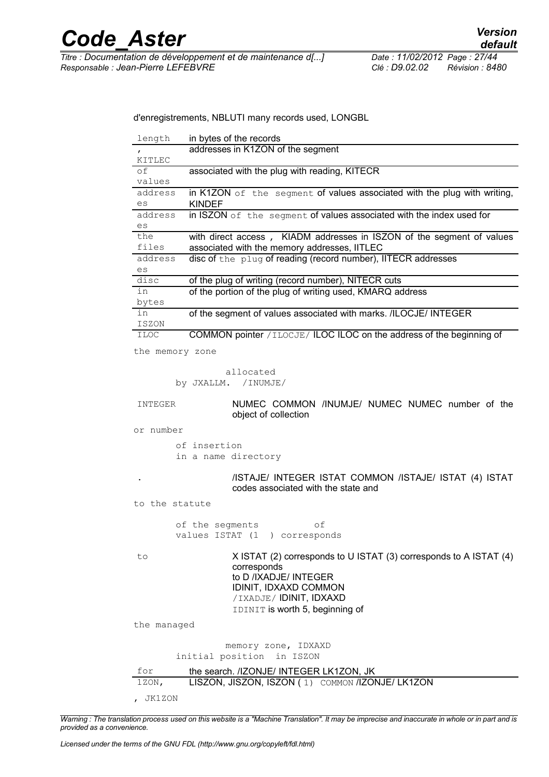d'enregistrements, NBLUTI many records used, LONGBL

| length       | in bytes of the records                                                  |
|--------------|--------------------------------------------------------------------------|
| $\mathbf{r}$ | addresses in K1ZON of the segment                                        |
| KITLEC       |                                                                          |
| оf           | associated with the plug with reading, KITECR                            |
| values       |                                                                          |
| address      | in K1ZON of the segment of values associated with the plug with writing, |
| es.          | <b>KINDEF</b>                                                            |
| address      | in ISZON of the segment of values associated with the index used for     |
| es           |                                                                          |
| the          | with direct access, KIADM addresses in ISZON of the segment of values    |
| files        | associated with the memory addresses, IITLEC                             |
| address      | disc of the plug of reading (record number), IITECR addresses            |
| es           |                                                                          |
| disc         | of the plug of writing (record number), NITECR cuts                      |
| in           | of the portion of the plug of writing used, KMARQ address                |
| bytes        |                                                                          |
| in           | of the segment of values associated with marks. /ILOCJE/ INTEGER         |
| ISZON        |                                                                          |
| <b>ILOC</b>  | COMMON pointer / ILOCJE/ ILOC ILOC on the address of the beginning of    |

the memory zone

 allocated by JXALLM. /INUMJE/

INTEGER NUMEC COMMON /INUMJE/ NUMEC NUMEC number of the object of collection

or number

 of insertion in a name directory

> . /ISTAJE/ INTEGER ISTAT COMMON /ISTAJE/ ISTAT (4) ISTAT codes associated with the state and

to the statute

 of the segments of values ISTAT (1 ) corresponds

to X ISTAT (2) corresponds to U ISTAT (3) corresponds to A ISTAT (4) corresponds to D /IXADJE/ INTEGER IDINIT, IDXAXD COMMON /IXADJE/ IDINIT, IDXAXD IDINIT is worth 5, beginning of

the managed

 memory zone, IDXAXD initial position in ISZON for the search. /IZONJE/ INTEGER LK1ZON, JK 1ZON, LISZON, JISZON, ISZON ( 1) COMMON /IZONJE/ LK1ZON

, JK1ZON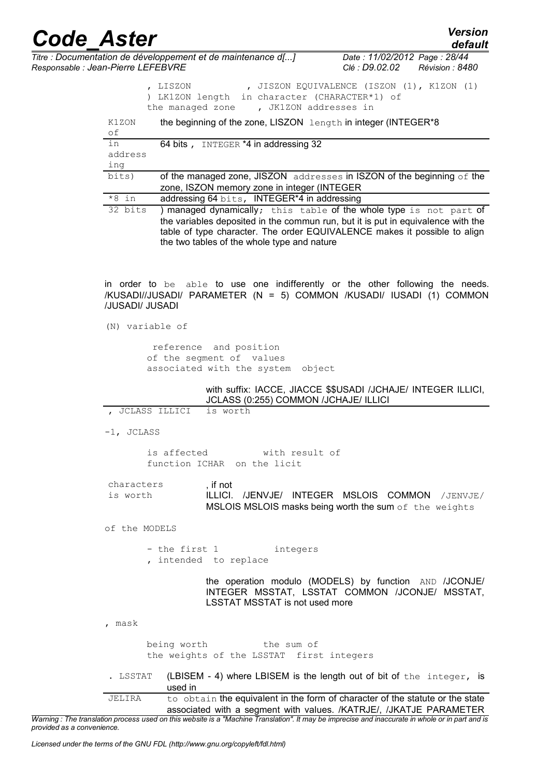*Titre : Documentation de développement et de maintenance d[...] Date : 11/02/2012 Page : 28/44 Responsable : Jean-Pierre LEFEBVRE Clé : D9.02.02 Révision : 8480*

| <i>-Pierre LEFEBVRE</i><br>Clé : D9.02.02 Révision : 8480 |                                                                                                                                                                                                                                                                                    |  |
|-----------------------------------------------------------|------------------------------------------------------------------------------------------------------------------------------------------------------------------------------------------------------------------------------------------------------------------------------------|--|
|                                                           | JISZON EQUIVALENCE (ISZON (1), K1ZON (1)<br>LISZON<br>LK1ZON length in character (CHARACTER*1) of<br>the managed zone , JK1ZON addresses in                                                                                                                                        |  |
| K1ZON<br>оf                                               | the beginning of the zone, LISZON length in integer (INTEGER*8)                                                                                                                                                                                                                    |  |
| in<br>address<br>ing                                      | 64 bits, INTEGER *4 in addressing 32                                                                                                                                                                                                                                               |  |
| bits)                                                     | of the managed zone, JISZON addresses in ISZON of the beginning of the<br>zone, ISZON memory zone in integer (INTEGER                                                                                                                                                              |  |
| $*8$ in                                                   | addressing 64 bits, INTEGER*4 in addressing                                                                                                                                                                                                                                        |  |
| 32 bits                                                   | ) managed dynamically; this table of the whole type is not part of<br>the variables deposited in the commun run, but it is put in equivalence with the<br>table of type character. The order EQUIVALENCE makes it possible to align<br>the two tables of the whole type and nature |  |

in order to be able to use one indifferently or the other following the needs. /KUSADI//JUSADI/ PARAMETER (N = 5) COMMON /KUSADI/ IUSADI (1) COMMON /JUSADI/ JUSADI

(N) variable of

 reference and position of the segment of values associated with the system object

#### with suffix: IACCE, JIACCE \$\$USADI /JCHAJE/ INTEGER ILLICI, JCLASS (0:255) COMMON /JCHAJE/ ILLICI

, JCLASS ILLICI is worth

-1, JCLASS

 is affected with result of function ICHAR on the licit

characters , if not is worth ILLICI. /JENVJE/ INTEGER MSLOIS COMMON /JENVJE/ MSLOIS MSLOIS masks being worth the sum of the weights

of the MODELS

- the first 1 integers , intended to replace

> the operation modulo (MODELS) by function AND /JCONJE/ INTEGER MSSTAT, LSSTAT COMMON /JCONJE/ MSSTAT, LSSTAT MSSTAT is not used more

, mask

 being worth the sum of the weights of the LSSTAT first integers

. LSSTAT (LBISEM - 4) where LBISEM is the length out of bit of the integer, is used in

JELIRA to obtain the equivalent in the form of character of the statute or the state associated with a segment with values. /KATRJE/, /JKATJE PARAMETER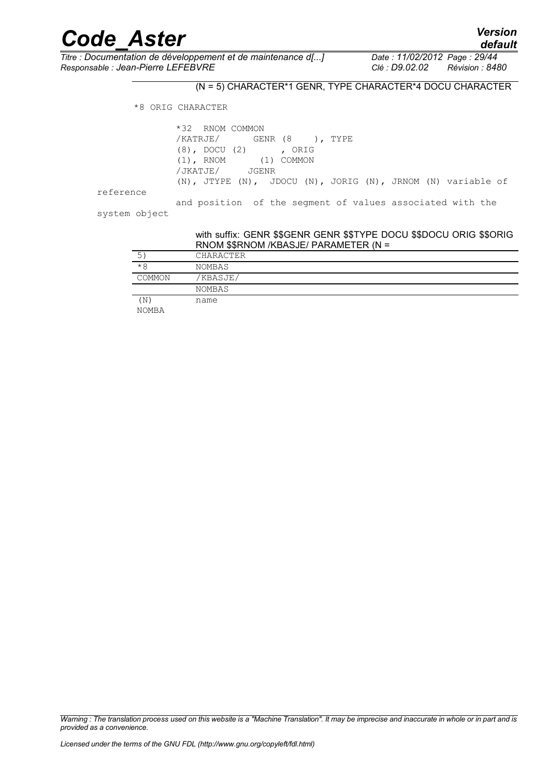*Titre : Documentation de développement et de maintenance d[...] Date : 11/02/2012 Page : 29/44 Responsable : Jean-Pierre LEFEBVRE Clé : D9.02.02 Révision : 8480*

#### (N = 5) CHARACTER\*1 GENR, TYPE CHARACTER\*4 DOCU CHARACTER

\*8 ORIG CHARACTER

|               | *32 RNOM COMMON                                             |
|---------------|-------------------------------------------------------------|
|               | /KATRJE/ GENR (8), TYPE                                     |
|               | $(8)$ , DOCU $(2)$ , ORIG                                   |
|               | $(1)$ , RNOM $(1)$ COMMON                                   |
|               | /JKATJE/ JGENR                                              |
|               | (N), JTYPE (N), JDOCU (N), JORIG (N), JRNOM (N) variable of |
| reference     |                                                             |
|               | and position of the seqment of values associated with the   |
| system object |                                                             |

#### with suffix: GENR \$\$GENR GENR \$\$TYPE DOCU \$\$DOCU ORIG \$\$ORIG RNOM \$\$RNOM /KBASJE/ PARAMETER (N =

| ∽<br>◡       | <b>CHARACTER</b> |
|--------------|------------------|
| $*8$         | NOMBAS           |
| COMMON       | KBASJE/          |
|              | NOMBAS           |
| (N)          | name             |
| <b>NOMBA</b> |                  |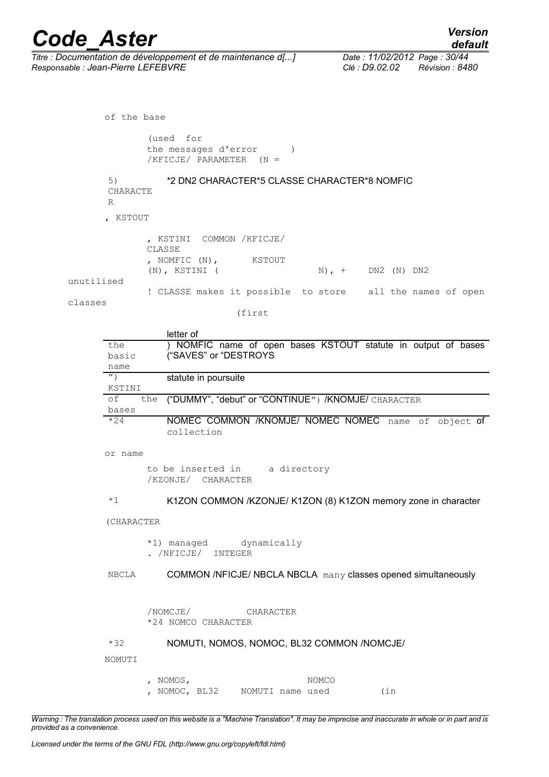*Titre : Documentation de développement et de maintenance d[...] Date : 11/02/2012 Page : 30/44 Responsable : Jean-Pierre LEFEBVRE Clé : D9.02.02 Révision : 8480*

of the base (used for the messages d'error ) /KFICJE/ PARAMETER (N = 5) CHARACTE R \*2 DN2 CHARACTER\*5 CLASSE CHARACTER\*8 NOMFIC , KSTOUT , KSTINI COMMON /KFICJE/ CLASSE , NOMFIC (N), KSTOUT (N), KSTINI ( N), + DN2 (N) DN2 unutilised ! CLASSE makes it possible to store all the names of open

classes

(first

|                   | letter of                                                   |
|-------------------|-------------------------------------------------------------|
| the               | NOMFIC name of open bases KSTOUT statute in output of bases |
| basic             | ("SAVES" or "DESTROYS                                       |
| name              |                                                             |
| $^{\prime\prime}$ | statute in poursuite                                        |
| KSTINI            |                                                             |
| оf                | the ("DUMMY", "debut" or "CONTINUE") /KNOMJE/ CHARACTER     |
| bases             |                                                             |
| $*24$             | NOMEC COMMON /KNOMJE/ NOMEC NOMEC name of object of         |
|                   | collection                                                  |

or name

 to be inserted in a directory /KZONJE/ CHARACTER

#### \*1 K1ZON COMMON /KZONJE/ K1ZON (8) K1ZON memory zone in character

(CHARACTER

| *1) managed | dynamically |
|-------------|-------------|
| . /NFICJE/  | INTEGER     |

#### NBCLA **COMMON /NFICJE/ NBCLA NBCLA** many classes opened simultaneously

 /NOMCJE/ CHARACTER \*24 NOMCO CHARACTER

#### \*32 NOMUTI, NOMOS, NOMOC, BL32 COMMON /NOMCJE/

NOMUTI

| , NOMOS,    |                  | NOMCO |     |
|-------------|------------------|-------|-----|
| NOMOC, BL32 | NOMUTI name used |       | (in |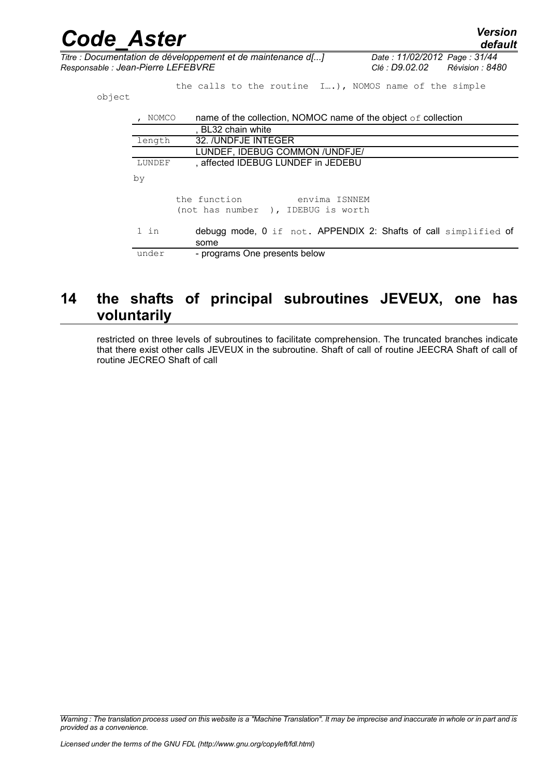| <b>Code Aster</b>                  |                    |                                                                         | <b>Version</b><br>default                                         |
|------------------------------------|--------------------|-------------------------------------------------------------------------|-------------------------------------------------------------------|
| Responsable : Jean-Pierre LEFEBVRE |                    | Titre : Documentation de développement et de maintenance d[]            | Date: 11/02/2012 Page: 31/44<br>Révision : 8480<br>Clé : D9.02.02 |
| object                             |                    | the calls to the routine I), NOMOS name of the simple                   |                                                                   |
|                                    | <b>NOMCO</b>       | name of the collection, NOMOC name of the object $\circ$ f collection   |                                                                   |
|                                    | . BL32 chain white |                                                                         |                                                                   |
|                                    | length             | 32. /UNDFJE INTEGER                                                     |                                                                   |
|                                    |                    | LUNDEF, IDEBUG COMMON / UNDFJE/                                         |                                                                   |
|                                    | LUNDEF             | , affected IDEBUG LUNDEF in JEDEBU                                      |                                                                   |
|                                    | by                 |                                                                         |                                                                   |
|                                    |                    | the function<br>envima ISNNEM<br>(not has number), IDEBUG is worth      |                                                                   |
|                                    | $1$ in             | debugg mode, 0 if not. APPENDIX 2: Shafts of call simplified of<br>some |                                                                   |
|                                    | under              | - programs One presents below                                           |                                                                   |

### **14 the shafts of principal subroutines JEVEUX, one has voluntarily**

restricted on three levels of subroutines to facilitate comprehension. The truncated branches indicate that there exist other calls JEVEUX in the subroutine. Shaft of call of routine JEECRA Shaft of call of routine JECREO Shaft of call

*Warning : The translation process used on this website is a "Machine Translation". It may be imprecise and inaccurate in whole or in part and is provided as a convenience.*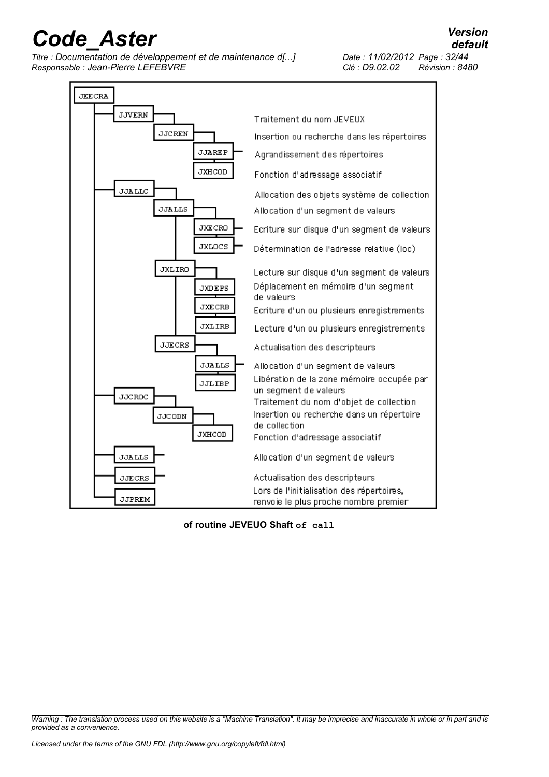*Titre : Documentation de développement et de maintenance d[...] Date : 11/02/2012 Page : 32/44 Responsable : Jean-Pierre LEFEBVRE Clé : D9.02.02 Révision : 8480*



*default*

**JEECRA JJVERN** Traitement du nom JEVEUX **JJCREN** Insertion ou recherche dans les répertoires **JJAREP** Agrandissement des répertoires **JXHCOD** Fonction d'adressage associatif **JJALLC** Allocation des objets système de collection **JJALLS** Allocation d'un segment de valeurs **JXECRO** Ecriture sur disque d'un segment de valeurs **JXLOCS** Détermination de l'adresse relative (loc) **JXLIRO** Lecture sur disque d'un segment de valeurs Déplacement en mémoire d'un segment **JXDEPS** de valeurs **JXECRB** Ecriture d'un ou plusieurs enregistrements **JXLIRB** Lecture d'un ou plusieurs enregistrements **JJECRS** Actualisation des descripteurs **JJALLS** Allocation d'un segment de valeurs Libération de la zone mémoire occupée par JJLIBP un segment de valeurs **JJCROC** Traitement du nom d'objet de collection Insertion ou recherche dans un répertoire JJCODN de collection **JXHCOD** Fonction d'adressage associatif **JJALLS** Allocation d'un segment de valeurs Actualisation des descripteurs JJECRS Lors de l'initialisation des répertoires, **JJPREM** renvoie le plus proche nombre premier

**of routine JEVEUO Shaft of call**

*Warning : The translation process used on this website is a "Machine Translation". It may be imprecise and inaccurate in whole or in part and is provided as a convenience.*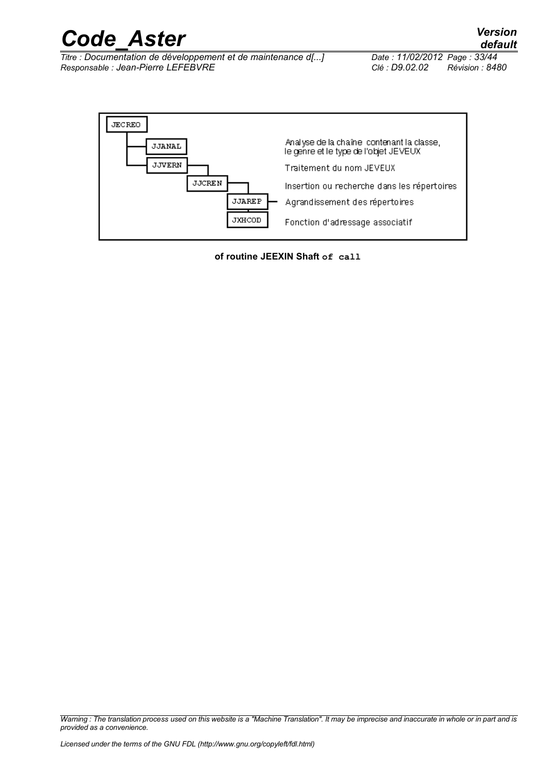# *Code\_Aster Version*<br>*Titre : Documentation de développement et de maintenance d[...]* Date : 11/02/2012 Page : 33/44

*Titre : Documentation de développement et de maintenance d[...] Responsable : Jean-Pierre LEFEBVRE Clé : D9.02.02 Révision : 8480*



**of routine JEEXIN Shaft of call**

*Warning : The translation process used on this website is a "Machine Translation". It may be imprecise and inaccurate in whole or in part and is provided as a convenience.*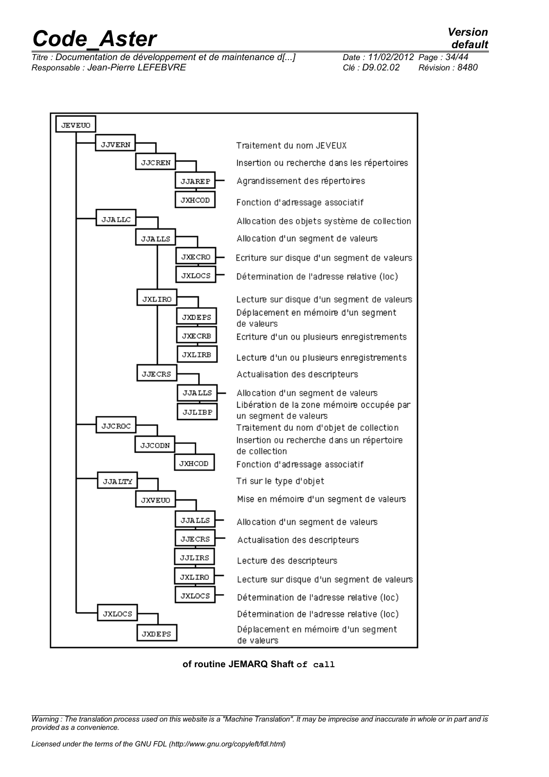*Titre : Documentation de développement et de maintenance d[...] Date : 11/02/2012 Page : 34/44 Responsable : Jean-Pierre LEFEBVRE Clé : D9.02.02 Révision : 8480*



**of routine JEMARQ Shaft of call**

*Warning : The translation process used on this website is a "Machine Translation". It may be imprecise and inaccurate in whole or in part and is provided as a convenience.*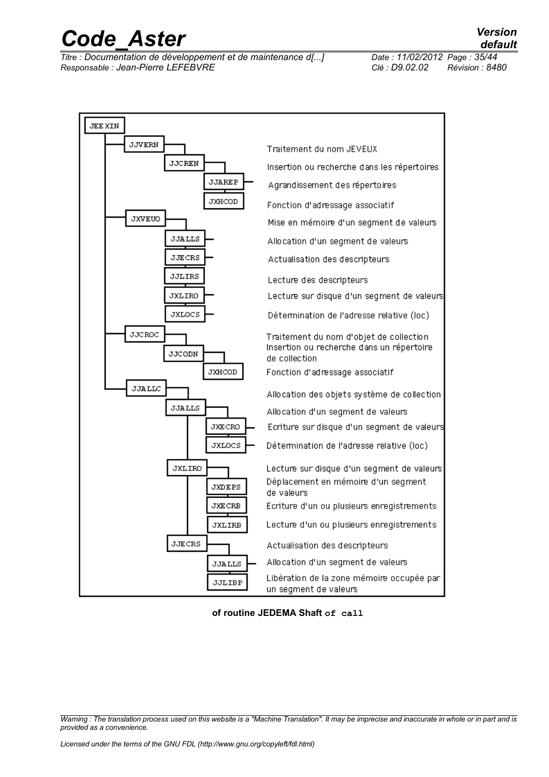*Titre : Documentation de développement et de maintenance d[...] Date : 11/02/2012 Page : 35/44 Responsable : Jean-Pierre LEFEBVRE Clé : D9.02.02 Révision : 8480*



**of routine JEDEMA Shaft of call**

*Warning : The translation process used on this website is a "Machine Translation". It may be imprecise and inaccurate in whole or in part and is provided as a convenience.*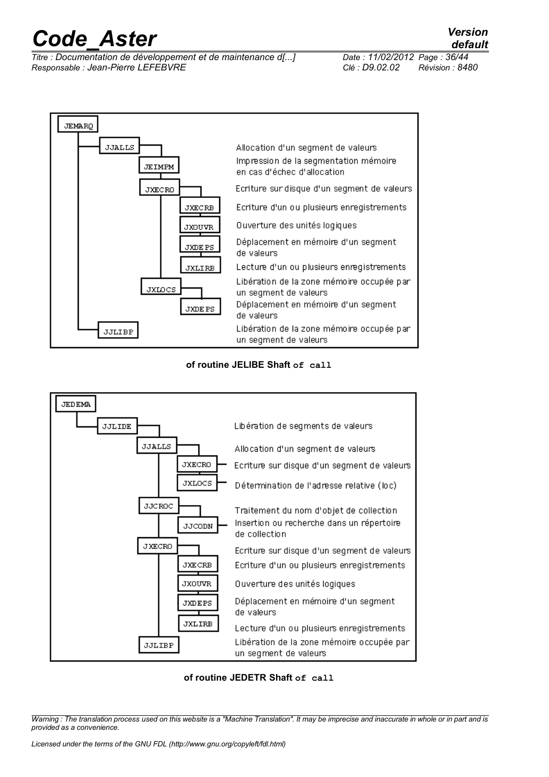*Titre : Documentation de développement et de maintenance d[...] Date : 11/02/2012 Page : 36/44 Responsable : Jean-Pierre LEFEBVRE Clé : D9.02.02 Révision : 8480*



**of routine JELIBE Shaft of call**



**of routine JEDETR Shaft of call**

*Warning : The translation process used on this website is a "Machine Translation". It may be imprecise and inaccurate in whole or in part and is provided as a convenience.*

### *default*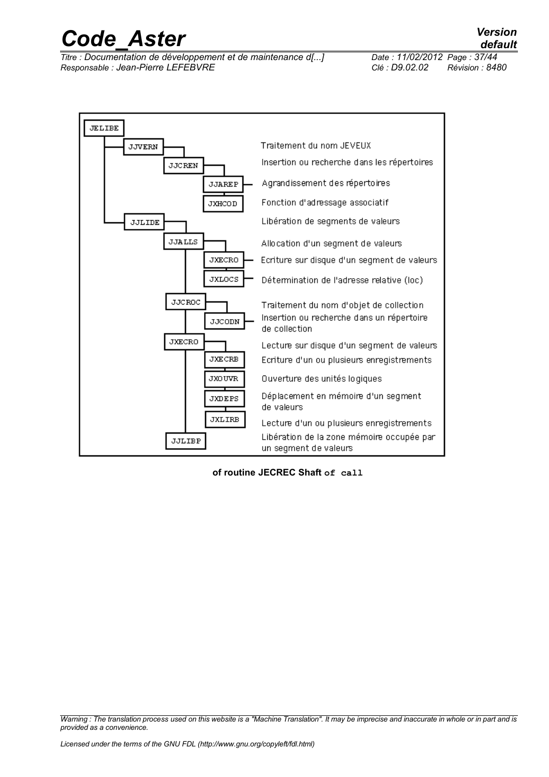*Titre : Documentation de développement et de maintenance d[...] Date : 11/02/2012 Page : 37/44 Responsable : Jean-Pierre LEFEBVRE Clé : D9.02.02 Révision : 8480*



**of routine JECREC Shaft of call**

*Warning : The translation process used on this website is a "Machine Translation". It may be imprecise and inaccurate in whole or in part and is provided as a convenience.*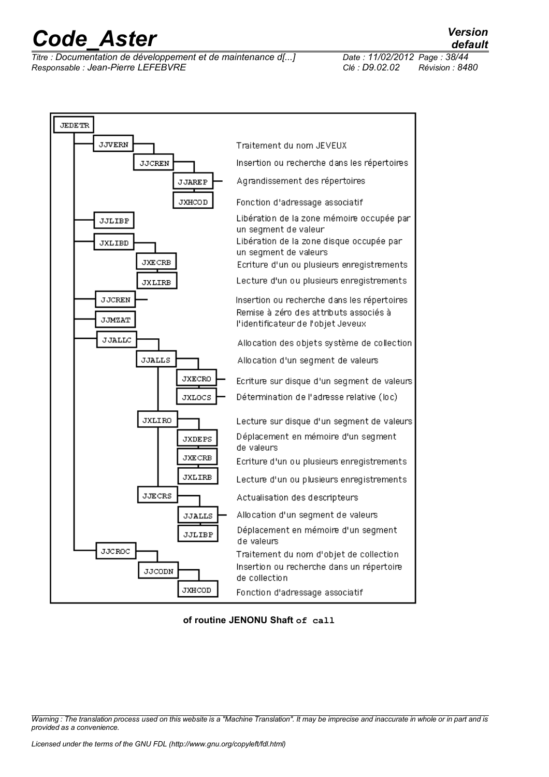*Titre : Documentation de développement et de maintenance d[...] Date : 11/02/2012 Page : 38/44 Responsable : Jean-Pierre LEFEBVRE Clé : D9.02.02 Révision : 8480*



**of routine JENONU Shaft of call**

*Warning : The translation process used on this website is a "Machine Translation". It may be imprecise and inaccurate in whole or in part and is provided as a convenience.*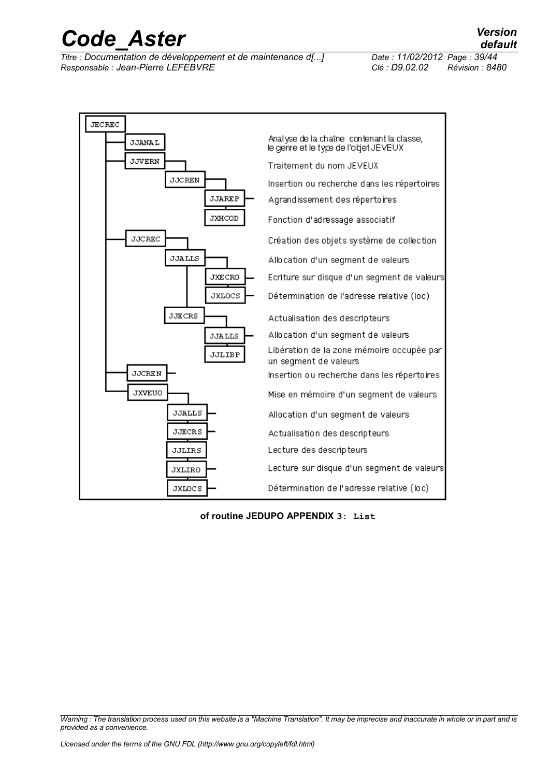*Titre : Documentation de développement et de maintenance d[...] Date : 11/02/2012 Page : 39/44 Responsable : Jean-Pierre LEFEBVRE Clé : D9.02.02 Révision : 8480*



**of routine JEDUPO APPENDIX 3: List**

*Warning : The translation process used on this website is a "Machine Translation". It may be imprecise and inaccurate in whole or in part and is provided as a convenience.*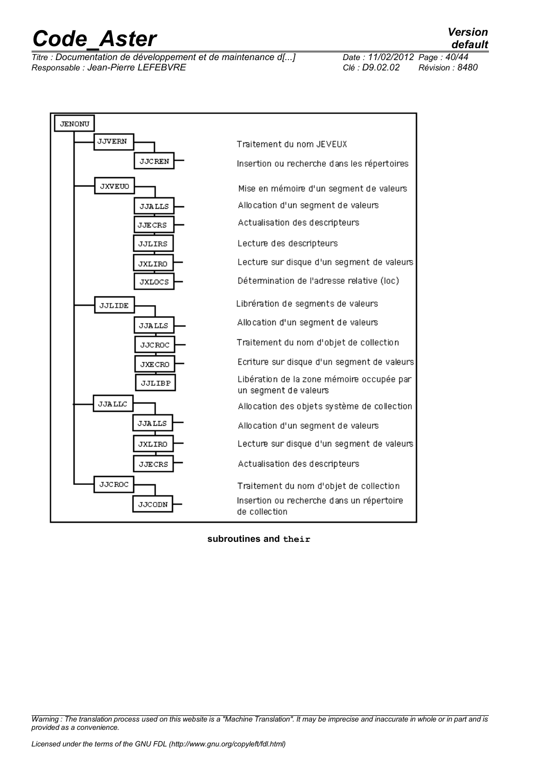*Titre : Documentation de développement et de maintenance d[...] Date : 11/02/2012 Page : 40/44 Responsable : Jean-Pierre LEFEBVRE Clé : D9.02.02 Révision : 8480*



**subroutines and their**

*Warning : The translation process used on this website is a "Machine Translation". It may be imprecise and inaccurate in whole or in part and is provided as a convenience.*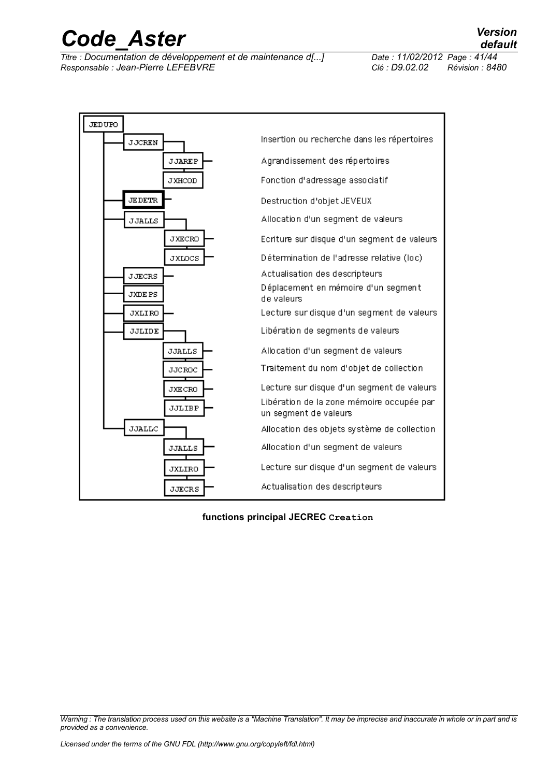*Titre : Documentation de développement et de maintenance d[...] Date : 11/02/2012 Page : 41/44 Responsable : Jean-Pierre LEFEBVRE Clé : D9.02.02 Révision : 8480*



**functions principal JECREC Creation**

*Warning : The translation process used on this website is a "Machine Translation". It may be imprecise and inaccurate in whole or in part and is provided as a convenience.*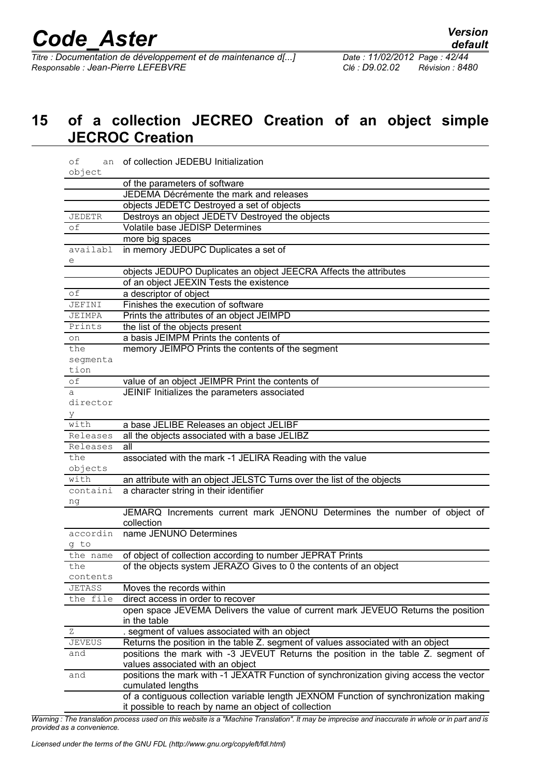### **15 of a collection JECREO Creation of an object simple JECROC Creation**

| οf<br>an                  | of collection JEDEBU Initialization                                                              |
|---------------------------|--------------------------------------------------------------------------------------------------|
| object                    |                                                                                                  |
|                           | of the parameters of software                                                                    |
|                           | JEDEMA Décrémente the mark and releases                                                          |
|                           | objects JEDETC Destroyed a set of objects                                                        |
| <b>JEDETR</b>             | Destroys an object JEDETV Destroyed the objects                                                  |
| $\circ f$                 | <b>Volatile base JEDISP Determines</b>                                                           |
|                           | more big spaces                                                                                  |
| availabl                  | in memory JEDUPC Duplicates a set of                                                             |
| e                         |                                                                                                  |
|                           | objects JEDUPO Duplicates an object JEECRA Affects the attributes                                |
|                           | of an object JEEXIN Tests the existence                                                          |
| $\circ f$                 | a descriptor of object                                                                           |
| JEFINI                    | Finishes the execution of software                                                               |
| JEIMPA                    | Prints the attributes of an object JEIMPD                                                        |
| Prints                    | the list of the objects present                                                                  |
| on                        | a basis JEIMPM Prints the contents of                                                            |
| the                       | memory JEIMPO Prints the contents of the segment                                                 |
| segmenta                  |                                                                                                  |
| tion                      |                                                                                                  |
| οf                        | value of an object JEIMPR Print the contents of                                                  |
| а                         | JEINIF Initializes the parameters associated                                                     |
| director                  |                                                                                                  |
| У                         |                                                                                                  |
| with                      | a base JELIBE Releases an object JELIBF                                                          |
| Releases                  | all the objects associated with a base JELIBZ                                                    |
| Releases                  | all                                                                                              |
| the                       | associated with the mark -1 JELIRA Reading with the value                                        |
| objects                   |                                                                                                  |
| with                      | an attribute with an object JELSTC Turns over the list of the objects                            |
| containi                  | a character string in their identifier                                                           |
| ng                        |                                                                                                  |
|                           | JEMARQ Increments current mark JENONU Determines the number of object of                         |
|                           | collection                                                                                       |
| accordin                  | name JENUNO Determines                                                                           |
| g to                      |                                                                                                  |
| the name                  | of object of collection according to number JEPRAT Prints                                        |
| the                       | of the objects system JERAZO Gives to 0 the contents of an object                                |
| contents<br><b>JETASS</b> |                                                                                                  |
| the file                  | Moves the records within                                                                         |
|                           | direct access in order to recover                                                                |
|                           | open space JEVEMA Delivers the value of current mark JEVEUO Returns the position<br>in the table |
| Ζ                         | . segment of values associated with an object                                                    |
| <b>JEVEUS</b>             | Returns the position in the table Z. segment of values associated with an object                 |
| and                       | positions the mark with -3 JEVEUT Returns the position in the table Z. segment of                |
|                           | values associated with an object                                                                 |
| and                       | positions the mark with -1 JEXATR Function of synchronization giving access the vector           |
|                           | cumulated lengths                                                                                |
|                           | of a contiguous collection variable length JEXNOM Function of synchronization making             |
|                           | it possible to reach by name an object of collection                                             |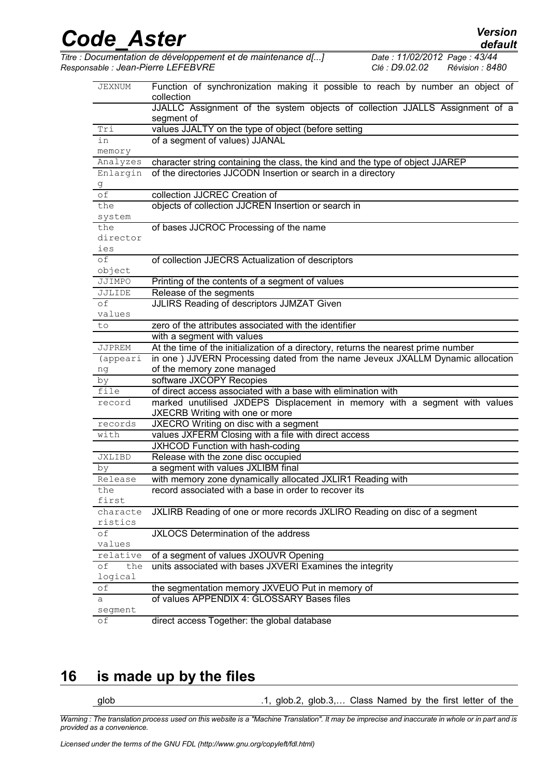| Version |  |
|---------|--|
| default |  |

| <b>Code Aster</b>                                                         | Version<br>default                                     |
|---------------------------------------------------------------------------|--------------------------------------------------------|
| $Time \cdot Dooumon to to do do dovolon moment of do motion on one of I.$ | $D_{\text{obs}}$ : 11/00/0010 $D_{\text{obs}}$ : 19/11 |

*Responsable : Jean-Pierre LEFEBVRE Clé : D9.02.02 Révision : 8480*

*Titre : Documentation de développement et de maintenance d[...] Date : 11/02/2012 Page : 43/44*

| <b>JEXNUM</b>  | Function of synchronization making it possible to reach by number an object of<br>collection |
|----------------|----------------------------------------------------------------------------------------------|
|                | JJALLC Assignment of the system objects of collection JJALLS Assignment of a<br>segment of   |
| Tri            | values JJALTY on the type of object (before setting                                          |
| in             | of a segment of values) JJANAL                                                               |
| memory         |                                                                                              |
| Analyzes       | character string containing the class, the kind and the type of object JJAREP                |
| Enlargin       | of the directories JJCODN Insertion or search in a directory                                 |
| $\overline{g}$ |                                                                                              |
| оf             | collection JJCREC Creation of                                                                |
| the            | objects of collection JJCREN Insertion or search in                                          |
| system         |                                                                                              |
| the            | of bases JJCROC Processing of the name                                                       |
| director       |                                                                                              |
| ies            |                                                                                              |
| оf             | of collection JJECRS Actualization of descriptors                                            |
| object         |                                                                                              |
| JJIMPO         | Printing of the contents of a segment of values                                              |
| JJLIDE         | Release of the segments                                                                      |
| оf             | JJLIRS Reading of descriptors JJMZAT Given                                                   |
| values         |                                                                                              |
| to             | zero of the attributes associated with the identifier                                        |
|                | with a segment with values                                                                   |
| <b>JJPREM</b>  | At the time of the initialization of a directory, returns the nearest prime number           |
| (appeari       | in one ) JJVERN Processing dated from the name Jeveux JXALLM Dynamic allocation              |
| ng             | of the memory zone managed                                                                   |
| by             | software JXCOPY Recopies                                                                     |
| file           | of direct access associated with a base with elimination with                                |
| record         | marked unutilised JXDEPS Displacement in memory with a segment with values                   |
|                | JXECRB Writing with one or more                                                              |
| records        | JXECRO Writing on disc with a segment                                                        |
| with           | values JXFERM Closing with a file with direct access                                         |
|                | JXHCOD Function with hash-coding                                                             |
| <b>JXLIBD</b>  | Release with the zone disc occupied                                                          |
| by             | a segment with values JXLIBM final                                                           |
| Release        | with memory zone dynamically allocated JXLIR1 Reading with                                   |
| the            | record associated with a base in order to recover its                                        |
| first          |                                                                                              |
| characte       | JXLIRB Reading of one or more records JXLIRO Reading on disc of a segment                    |
| ristics        |                                                                                              |
| οf             | JXLOCS Determination of the address                                                          |
| values         |                                                                                              |
| relative       | of a segment of values JXOUVR Opening                                                        |
| оf<br>the      | units associated with bases JXVERI Examines the integrity                                    |
| logical        |                                                                                              |
| оf             | the segmentation memory JXVEUO Put in memory of                                              |
| a              | of values APPENDIX 4: GLOSSARY Bases files                                                   |
| segment        |                                                                                              |
| оf             | direct access Together: the global database                                                  |

### **16 is made up by the files**

glob .1, glob.2, glob.3,... Class Named by the first letter of the